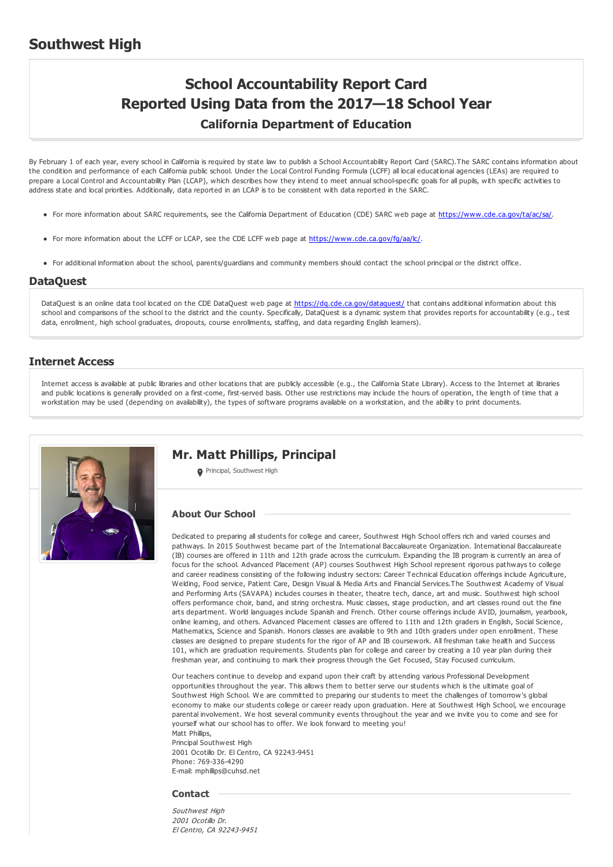## **Southwest High**

# **School Accountability Report Card Reported Using Data from the 2017—18 School Year California Department of Education**

By February 1 of each year, every school in California is required by state law to publish a School Accountability Report Card (SARC).The SARC contains information about the condition and performance of each California public school. Under the Local Control Funding Formula (LCFF) all local educational agencies (LEAs) are required to prepare a Local Control and Accountability Plan (LCAP), which describes how they intend to meet annual school-specific goals for all pupils, with specific activities to address state and local priorities. Additionally, data reported in an LCAP is to be consistent with data reported in the SARC.

- For more information about SARC requirements, see the California Department of Education (CDE) SARC web page at <https://www.cde.ca.gov/ta/ac/sa/>.
- For more information about the LCFF or LCAP, see the CDE LCFF web page at <https://www.cde.ca.gov/fg/aa/lc/>.
- For additional information about the school, parents/guardians and community members should contact the school principal or the district office.

#### **DataQuest**

DataQuest is an online data tool located on the CDE DataQuest web page at <https://dq.cde.ca.gov/dataquest/> that contains additional information about this school and comparisons of the school to the district and the county. Specifically, DataQuest is a dynamic system that provides reports for accountability (e.g., test data, enrollment, high school graduates, dropouts, course enrollments, staffing, and data regarding English learners).

#### **Internet Access**

Internet access is available at public libraries and other locations that are publicly accessible (e.g., the California State Library). Access to the Internet at libraries and public locations is generally provided on a first-come, first-served basis. Other use restrictions may include the hours of operation, the length of time that a workstation may be used (depending on availability), the types of software programs available on a workstation, and the ability to print documents.



## **Mr. Matt Phillips, Principal**

**O** Principal, Southwest High

#### **About Our School**

Dedicated to preparing all students for college and career, Southwest High School offers rich and varied courses and pathways. In 2015 Southwest became part of the International Baccalaureate Organization. International Baccalaureate (IB) courses are offered in 11th and 12th grade across the curriculum. Expanding the IB program is currently an area of focus for the school. Advanced Placement (AP) courses Southwest High School represent rigorous pathways to college and career readiness consisting of the following industry sectors: Career Technical Education offerings include Agriculture, Welding, Food service, Patient Care, Design Visual & Media Arts and Financial Services.The Southwest Academy of Visual and Performing Arts (SAVAPA) includes courses in theater, theatre tech, dance, art and music. Southwest high school offers performance choir, band, and string orchestra. Music classes, stage production, and art classes round out the fine arts department. World languages include Spanish and French. Other course offerings include AVID, journalism, yearbook, online learning, and others. Advanced Placement classes are offered to 11th and 12th graders in English, Social Science, Mathematics, Science and Spanish. Honors classes are available to 9th and 10th graders under open enrollment. These classes are designed to prepare students for the rigor of AP and IB coursework. All freshman take health and Success 101, which are graduation requirements. Students plan for college and career by creating a 10 year plan during their freshman year, and continuing to mark their progress through the Get Focused, Stay Focused curriculum.

Our teachers continue to develop and expand upon their craft by attending various Professional Development opportunities throughout the year. This allows them to better serve our students which is the ultimate goal of Southwest High School. We are committed to preparing our students to meet the challenges of tomorrow's global economy to make our students college or career ready upon graduation. Here at Southwest High School, we encourage parental involvement. We host several community events throughout the year and we invite you to come and see for yourself what our school has to offer. We look forward to meeting you! Matt Phillips,

Principal Southwest High 2001 Ocotillo Dr. El Centro, CA 92243-9451 Phone: 769-336-4290 E-mail: mphillips@cuhsd.net

#### **Contact**

Southwest High 2001 Ocotillo Dr. El Centro, CA 92243-9451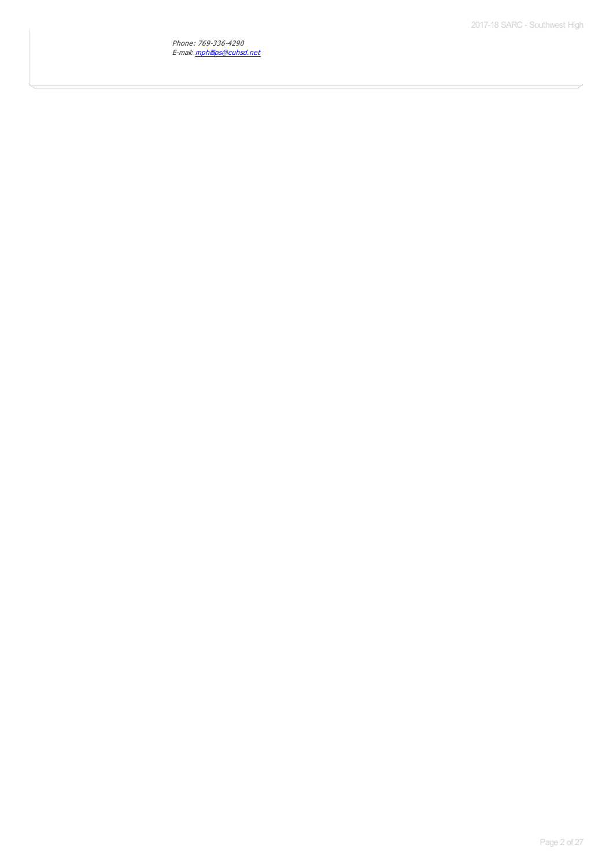Phone: 769-336-4290 E-mail: [mphillips@cuhsd.net](mailto:mphillips@cuhsd.net)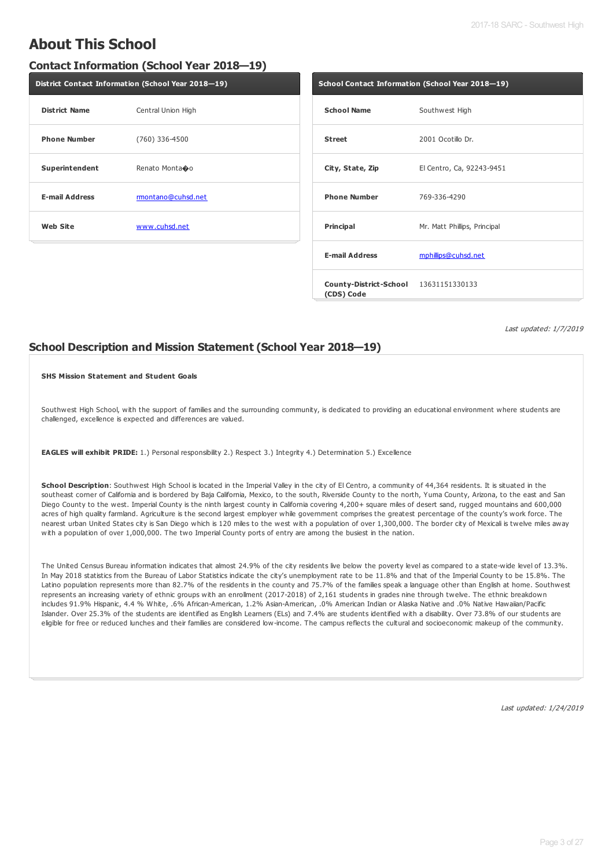# **About This School**

### **Contact Information (School Year 2018—19)**

| District Contact Information (School Year 2018-19) |                    |  |  |
|----------------------------------------------------|--------------------|--|--|
| <b>District Name</b>                               | Central Union High |  |  |
| <b>Phone Number</b>                                | (760) 336-4500     |  |  |
| Superintendent                                     | Renato Monta�o     |  |  |
| <b>E-mail Address</b>                              | rmontano@cuhsd.net |  |  |
| <b>Web Site</b>                                    | www.cuhsd.net      |  |  |

|                                                     | School Contact Information (School Year 2018-19) |
|-----------------------------------------------------|--------------------------------------------------|
| <b>School Name</b>                                  | Southwest High                                   |
| <b>Street</b>                                       | 2001 Ocotillo Dr.                                |
| City, State, Zip                                    | El Centro, Ca, 92243-9451                        |
| <b>Phone Number</b>                                 | 769-336-4290                                     |
| <b>Principal</b>                                    | Mr. Matt Phillips, Principal                     |
| <b>E-mail Address</b>                               | mphillips@cuhsd.net                              |
| County-District-School 13631151330133<br>(CDS) Code |                                                  |

Last updated: 1/7/2019

### **School Description and Mission Statement (School Year 2018—19)**

#### **SHS Mission Statement and Student Goals**

Southwest High School, with the support of families and the surrounding community, is dedicated to providing an educational environment where students are challenged, excellence is expected and differences are valued.

**EAGLES will exhibit PRIDE:** 1.) Personal responsibility 2.) Respect 3.) Integrity 4.) Determination 5.) Excellence

**School Description**: Southwest High School is located in the Imperial Valley in the city of El Centro, a community of 44,364 residents. It is situated in the southeast corner of California and is bordered by Baja California, Mexico, to the south, Riverside County to the north, Yuma County, Arizona, to the east and San Diego County to the west. Imperial County is the ninth largest county in California covering 4,200+ square miles of desert sand, rugged mountains and 600,000 acres of high quality farmland. Agriculture is the second largest employer while government comprises the greatest percentage of the county's work force. The nearest urban United States city is San Diego which is 120 miles to the west with a population of over 1,300,000. The border city of Mexicali is twelve miles away with a population of over 1,000,000. The two Imperial County ports of entry are among the busiest in the nation.

The United Census Bureau information indicates that almost 24.9% of the city residents live below the poverty level as compared to a state-wide level of 13.3%. In May 2018 statistics from the Bureau of Labor Statistics indicate the city's unemployment rate to be 11.8% and that of the Imperial County to be 15.8%. The Latino population represents more than 82.7% of the residents in the county and 75.7% of the families speak a language other than English at home. Southwest represents an increasing variety of ethnic groups with an enrollment (2017-2018) of 2,161 students in grades nine through twelve. The ethnic breakdown includes 91.9% Hispanic, 4.4 % White, .6% African-American, 1.2% Asian-American, .0% American Indian or Alaska Native and .0% Native Hawaiian/Pacific Islander. Over 25.3% of the students are identified as English Learners (ELs) and 7.4% are students identified with a disability. Over 73.8% of our students are eligible for free or reduced lunches and their families are considered low-income. The campus reflects the cultural and socioeconomic makeup of the community.

Last updated: 1/24/2019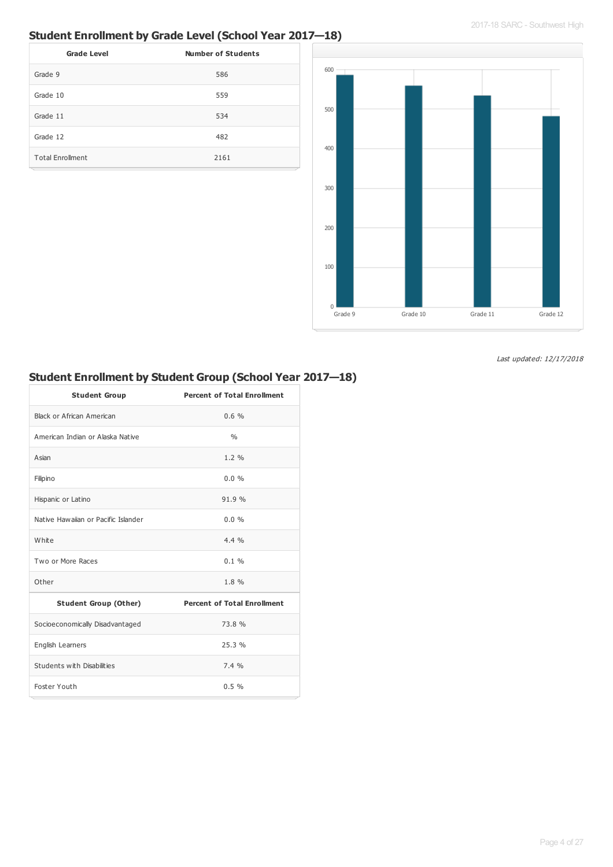## **Student Enrollment by Grade Level (School Year 2017—18)**

| <b>Grade Level</b>      | <b>Number of Students</b> |
|-------------------------|---------------------------|
| Grade 9                 | 586                       |
| Grade 10                | 559                       |
| Grade 11                | 534                       |
| Grade 12                | 482                       |
| <b>Total Enrollment</b> | 2161                      |



Last updated: 12/17/2018

## **Student Enrollment by Student Group (School Year 2017—18)**

| <b>Student Group</b>                | <b>Percent of Total Enrollment</b> |
|-------------------------------------|------------------------------------|
| Black or African American           | 0.6%                               |
| American Indian or Alaska Native    | 0/6                                |
| Asian                               | $1.2 \%$                           |
| Filipino                            | $0.0\%$                            |
| Hispanic or Latino                  | 91.9%                              |
| Native Hawaiian or Pacific Islander | $0.0\%$                            |
| White                               | $4.4\%$                            |
| Two or More Races                   | $0.1 \%$                           |
| Other                               | 1.8%                               |
| <b>Student Group (Other)</b>        | <b>Percent of Total Enrollment</b> |
| Socioeconomically Disadvantaged     | 73.8 %                             |
| English Learners                    | 25.3%                              |
| Students with Disabilities          | 7.4%                               |
| Foster Youth                        | 0.5%                               |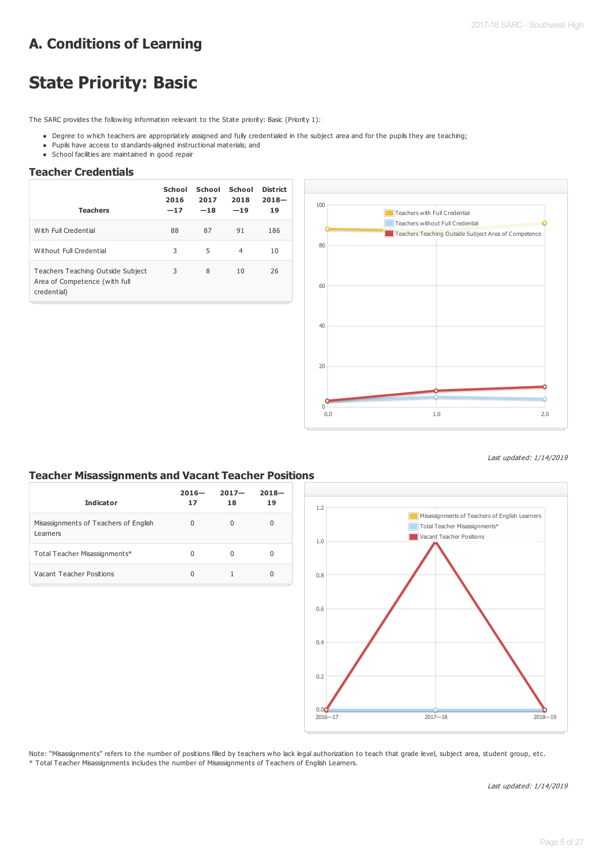# **A. Conditions of Learning**

# **State Priority: Basic**

The SARC provides the following information relevant to the State priority: Basic (Priority 1):

- Degree to which teachers are appropriately assigned and fully credentialed in the subject area and for the pupils they are teaching;
- Pupils have access to standards-aligned instructional materials; and
- School facilities are maintained in good repair

### **Teacher Credentials**

| <b>Teachers</b>                                                                   | School<br>2016<br>$-17$ | School<br>2017<br>$-18$ | School<br>2018<br>$-19$ | <b>District</b><br>$2018 -$<br>19 |
|-----------------------------------------------------------------------------------|-------------------------|-------------------------|-------------------------|-----------------------------------|
| With Full Credential                                                              | 88                      | 87                      | 91                      | 186                               |
| Without Full Credential                                                           | 3                       | 5                       | $\overline{4}$          | 10                                |
| Teachers Teaching Outside Subject<br>Area of Competence (with full<br>credential) | 3                       | 8                       | 10                      | 26                                |



Last updated: 1/14/2019

## **Teacher Misassignments and Vacant Teacher Positions**

| <b>Indicator</b>                                  | $2016 -$<br>17 | $2017 -$<br>18 | $2018 -$<br>19 |
|---------------------------------------------------|----------------|----------------|----------------|
| Misassignments of Teachers of English<br>Learners | 0              | U              | $\Omega$       |
| Total Teacher Misassignments*                     | 0              | O              | 0              |
| Vacant Teacher Positions                          | 0              |                | 0              |



Note: "Misassignments" refers to the number of positions filled by teachers who lack legal authorization to teach that grade level, subject area, student group, etc. \* Total Teacher Misassignments includes the number of Misassignments of Teachers of English Learners.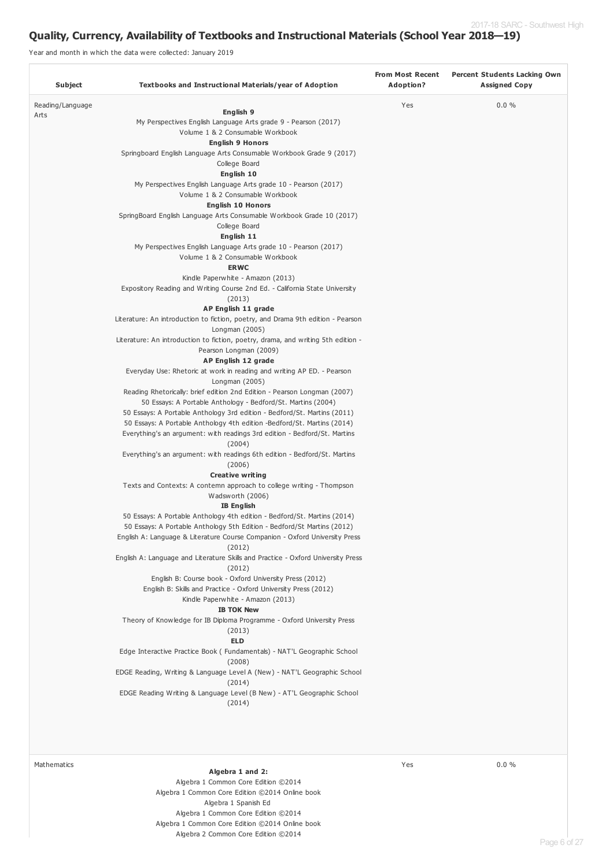## **Quality, Currency, Availability of Textbooks and Instructional Materials (School Year 2018—19)**

Year and month in which the data were collected: January 2019

| Subject          | Textbooks and Instructional Materials/year of Adoption                                                     | <b>From Most Recent</b><br>Adoption? | <b>Percent Students Lacking Own</b><br><b>Assigned Copy</b> |
|------------------|------------------------------------------------------------------------------------------------------------|--------------------------------------|-------------------------------------------------------------|
| Reading/Language |                                                                                                            | Yes                                  | $0.0 \%$                                                    |
| Arts             | English 9                                                                                                  |                                      |                                                             |
|                  | My Perspectives English Language Arts grade 9 - Pearson (2017)                                             |                                      |                                                             |
|                  | Volume 1 & 2 Consumable Workbook                                                                           |                                      |                                                             |
|                  | <b>English 9 Honors</b>                                                                                    |                                      |                                                             |
|                  | Springboard English Language Arts Consumable Workbook Grade 9 (2017)                                       |                                      |                                                             |
|                  | College Board<br>English 10                                                                                |                                      |                                                             |
|                  | My Perspectives English Language Arts grade 10 - Pearson (2017)                                            |                                      |                                                             |
|                  | Volume 1 & 2 Consumable Workbook                                                                           |                                      |                                                             |
|                  | <b>English 10 Honors</b>                                                                                   |                                      |                                                             |
|                  | SpringBoard English Language Arts Consumable Workbook Grade 10 (2017)                                      |                                      |                                                             |
|                  | College Board                                                                                              |                                      |                                                             |
|                  | English 11                                                                                                 |                                      |                                                             |
|                  | My Perspectives English Language Arts grade 10 - Pearson (2017)                                            |                                      |                                                             |
|                  | Volume 1 & 2 Consumable Workbook                                                                           |                                      |                                                             |
|                  | <b>ERWC</b>                                                                                                |                                      |                                                             |
|                  | Kindle Paperwhite - Amazon (2013)                                                                          |                                      |                                                             |
|                  | Expository Reading and Writing Course 2nd Ed. - California State University                                |                                      |                                                             |
|                  | (2013)                                                                                                     |                                      |                                                             |
|                  | AP English 11 grade                                                                                        |                                      |                                                             |
|                  | Literature: An introduction to fiction, poetry, and Drama 9th edition - Pearson                            |                                      |                                                             |
|                  | Longman (2005)                                                                                             |                                      |                                                             |
|                  | Literature: An introduction to fiction, poetry, drama, and writing 5th edition -<br>Pearson Longman (2009) |                                      |                                                             |
|                  | AP English 12 grade                                                                                        |                                      |                                                             |
|                  | Everyday Use: Rhetoric at work in reading and writing AP ED. - Pearson                                     |                                      |                                                             |
|                  | Longman (2005)                                                                                             |                                      |                                                             |
|                  | Reading Rhetorically: brief edition 2nd Edition - Pearson Longman (2007)                                   |                                      |                                                             |
|                  | 50 Essays: A Portable Anthology - Bedford/St. Martins (2004)                                               |                                      |                                                             |
|                  | 50 Essays: A Portable Anthology 3rd edition - Bedford/St. Martins (2011)                                   |                                      |                                                             |
|                  | 50 Essays: A Portable Anthology 4th edition -Bedford/St. Martins (2014)                                    |                                      |                                                             |
|                  | Everything's an argument: with readings 3rd edition - Bedford/St. Martins                                  |                                      |                                                             |
|                  | (2004)                                                                                                     |                                      |                                                             |
|                  | Everything's an argument: with readings 6th edition - Bedford/St. Martins<br>(2006)                        |                                      |                                                             |
|                  | <b>Creative writing</b>                                                                                    |                                      |                                                             |
|                  | Texts and Contexts: A contemn approach to college writing - Thompson                                       |                                      |                                                             |
|                  | Wadsworth (2006)                                                                                           |                                      |                                                             |
|                  | <b>IB English</b>                                                                                          |                                      |                                                             |
|                  | 50 Essays: A Portable Anthology 4th edition - Bedford/St. Martins (2014)                                   |                                      |                                                             |
|                  | 50 Essays: A Portable Anthology 5th Edition - Bedford/St Martins (2012)                                    |                                      |                                                             |
|                  | English A: Language & Literature Course Companion - Oxford University Press                                |                                      |                                                             |
|                  | (2012)                                                                                                     |                                      |                                                             |
|                  | English A: Language and Literature Skills and Practice - Oxford University Press                           |                                      |                                                             |
|                  | (2012)                                                                                                     |                                      |                                                             |
|                  | English B: Course book - Oxford University Press (2012)                                                    |                                      |                                                             |
|                  | English B: Skills and Practice - Oxford University Press (2012)                                            |                                      |                                                             |
|                  | Kindle Paperwhite - Amazon (2013)<br><b>IB TOK New</b>                                                     |                                      |                                                             |
|                  | Theory of Knowledge for IB Diploma Programme - Oxford University Press                                     |                                      |                                                             |
|                  | (2013)                                                                                                     |                                      |                                                             |
|                  | <b>ELD</b>                                                                                                 |                                      |                                                             |
|                  | Edge Interactive Practice Book (Fundamentals) - NAT'L Geographic School                                    |                                      |                                                             |
|                  | (2008)                                                                                                     |                                      |                                                             |
|                  | EDGE Reading, Writing & Language Level A (New) - NAT'L Geographic School                                   |                                      |                                                             |
|                  | (2014)                                                                                                     |                                      |                                                             |
|                  | EDGE Reading Writing & Language Level (B New) - AT'L Geographic School                                     |                                      |                                                             |
|                  | (2014)                                                                                                     |                                      |                                                             |
|                  |                                                                                                            |                                      |                                                             |
|                  |                                                                                                            |                                      |                                                             |
| Mathematics      |                                                                                                            | Yes                                  | $0.0 \%$                                                    |
|                  | Algebra 1 and 2:                                                                                           |                                      |                                                             |

Algebra 1 Common Core Edition ©2014 Algebra 1 Common Core Edition ©2014 Online book Algebra 1 Spanish Ed Algebra 1 Common Core Edition ©2014 Algebra 1 Common Core Edition ©2014 Online book Algebra 2 Common Core Edition ©2014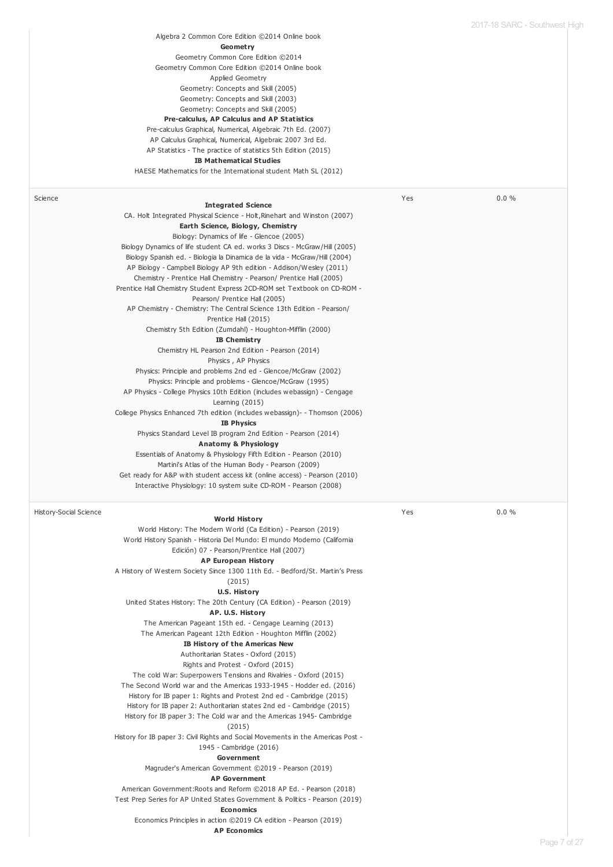|                               | Algebra 2 Common Core Edition ©2014 Online book<br>Geometry<br>Geometry Common Core Edition ©2014<br>Geometry Common Core Edition @2014 Online book<br>Applied Geometry<br>Geometry: Concepts and Skill (2005)<br>Geometry: Concepts and Skill (2003)<br>Geometry: Concepts and Skill (2005)<br>Pre-calculus, AP Calculus and AP Statistics<br>Pre-calculus Graphical, Numerical, Algebraic 7th Ed. (2007)<br>AP Calculus Graphical, Numerical, Algebraic 2007 3rd Ed.<br>AP Statistics - The practice of statistics 5th Edition (2015)<br><b>IB Mathematical Studies</b><br>HAESE Mathematics for the International student Math SL (2012)                                                                                                                                                                                                                                                                                                                                                                                                                                                                                                                                                                                                                                                                                                                                                                                                                                                                                                                                              |     |       |
|-------------------------------|------------------------------------------------------------------------------------------------------------------------------------------------------------------------------------------------------------------------------------------------------------------------------------------------------------------------------------------------------------------------------------------------------------------------------------------------------------------------------------------------------------------------------------------------------------------------------------------------------------------------------------------------------------------------------------------------------------------------------------------------------------------------------------------------------------------------------------------------------------------------------------------------------------------------------------------------------------------------------------------------------------------------------------------------------------------------------------------------------------------------------------------------------------------------------------------------------------------------------------------------------------------------------------------------------------------------------------------------------------------------------------------------------------------------------------------------------------------------------------------------------------------------------------------------------------------------------------------|-----|-------|
| Science                       | <b>Integrated Science</b><br>CA. Holt Integrated Physical Science - Holt, Rinehart and Winston (2007)<br>Earth Science, Biology, Chemistry<br>Biology: Dynamics of life - Glencoe (2005)<br>Biology Dynamics of life student CA ed. works 3 Discs - McGraw/Hill (2005)<br>Biology Spanish ed. - Biologia la Dinamica de la vida - McGraw/Hill (2004)<br>AP Biology - Campbell Biology AP 9th edition - Addison/Wesley (2011)<br>Chemistry - Prentice Hall Chemistry - Pearson/ Prentice Hall (2005)<br>Prentice Hall Chemistry Student Express 2CD-ROM set Textbook on CD-ROM -<br>Pearson/ Prentice Hall (2005)<br>AP Chemistry - Chemistry: The Central Science 13th Edition - Pearson/<br>Prentice Hall (2015)<br>Chemistry 5th Edition (Zumdahl) - Houghton-Mifflin (2000)<br><b>IB Chemistry</b><br>Chemistry HL Pearson 2nd Edition - Pearson (2014)<br>Physics, AP Physics<br>Physics: Principle and problems 2nd ed - Glencoe/McGraw (2002)<br>Physics: Principle and problems - Glencoe/McGraw (1995)<br>AP Physics - College Physics 10th Edition (includes webassign) - Cengage<br>Learning $(2015)$<br>College Physics Enhanced 7th edition (includes webassign) - Thomson (2006)<br><b>IB Physics</b><br>Physics Standard Level IB program 2nd Edition - Pearson (2014)<br>Anatomy & Physiology<br>Essentials of Anatomy & Physiology Fifth Edition - Pearson (2010)<br>Martini's Atlas of the Human Body - Pearson (2009)<br>Get ready for A&P with student access kit (online access) - Pearson (2010)<br>Interactive Physiology: 10 system suite CD-ROM - Pearson (2008) | Yes | 0.0 % |
| <b>History-Social Science</b> | <b>World History</b><br>World History: The Modern World (Ca Edition) - Pearson (2019)<br>World History Spanish - Historia Del Mundo: El mundo Moderno (California<br>Edición) 07 - Pearson/Prentice Hall (2007)<br><b>AP European History</b><br>A History of Western Society Since 1300 11th Ed. - Bedford/St. Martin's Press<br>(2015)<br><b>U.S. History</b><br>United States History: The 20th Century (CA Edition) - Pearson (2019)<br>AP. U.S. History<br>The American Pageant 15th ed. - Cengage Learning (2013)<br>The American Pageant 12th Edition - Houghton Mifflin (2002)<br>IB History of the Americas New<br>Authoritarian States - Oxford (2015)<br>Rights and Protest - Oxford (2015)<br>The cold War: Superpowers Tensions and Rivalries - Oxford (2015)<br>The Second World war and the Americas 1933-1945 - Hodder ed. (2016)<br>History for IB paper 1: Rights and Protest 2nd ed - Cambridge (2015)<br>History for IB paper 2: Authoritarian states 2nd ed - Cambridge (2015)<br>History for IB paper 3: The Cold war and the Americas 1945- Cambridge<br>(2015)<br>History for IB paper 3: Civil Rights and Social Movements in the Americas Post -<br>1945 - Cambridge (2016)<br>Government<br>Magruder's American Government ©2019 - Pearson (2019)<br><b>AP Government</b><br>American Government: Roots and Reform ©2018 AP Ed. - Pearson (2018)<br>Test Prep Series for AP United States Government & Politics - Pearson (2019)<br><b>Economics</b><br>Economics Principles in action ©2019 CA edition - Pearson (2019)<br><b>AP Economics</b>               | Yes | 0.0%  |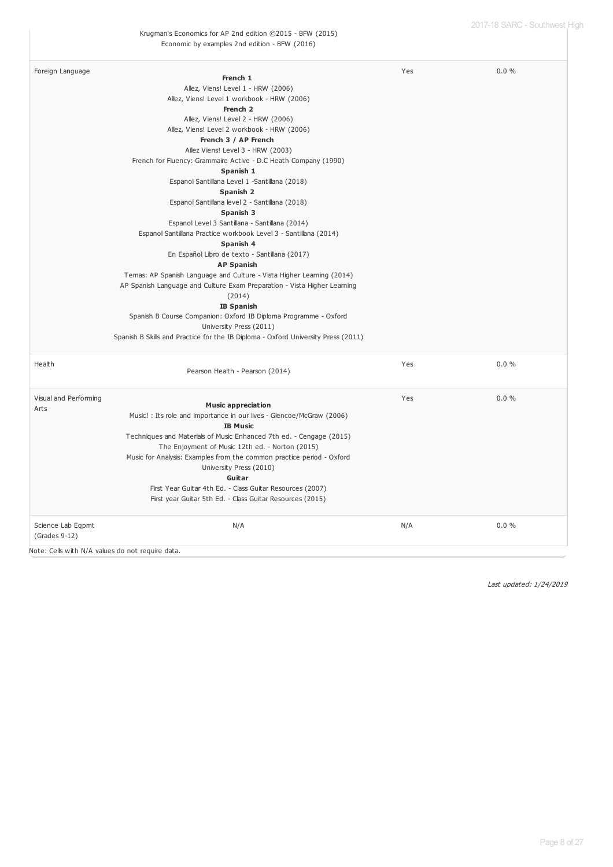| Foreign Language                   |                                                                                   | Yes | 0.0% |
|------------------------------------|-----------------------------------------------------------------------------------|-----|------|
|                                    | French 1                                                                          |     |      |
|                                    | Allez, Viens! Level 1 - HRW (2006)                                                |     |      |
|                                    | Allez, Viens! Level 1 workbook - HRW (2006)                                       |     |      |
|                                    | French <sub>2</sub>                                                               |     |      |
|                                    | Allez, Viens! Level 2 - HRW (2006)                                                |     |      |
|                                    | Allez, Viens! Level 2 workbook - HRW (2006)                                       |     |      |
|                                    | French 3 / AP French                                                              |     |      |
|                                    | Allez Viens! Level 3 - HRW (2003)                                                 |     |      |
|                                    | French for Fluency: Grammaire Active - D.C Heath Company (1990)                   |     |      |
|                                    | Spanish 1                                                                         |     |      |
|                                    | Espanol Santillana Level 1 -Santillana (2018)                                     |     |      |
|                                    | Spanish 2                                                                         |     |      |
|                                    | Espanol Santillana level 2 - Santillana (2018)                                    |     |      |
|                                    | Spanish 3                                                                         |     |      |
|                                    | Espanol Level 3 Santillana - Santillana (2014)                                    |     |      |
|                                    | Espanol Santillana Practice workbook Level 3 - Santillana (2014)                  |     |      |
|                                    | Spanish 4                                                                         |     |      |
|                                    | En Español Libro de texto - Santillana (2017)                                     |     |      |
|                                    | <b>AP Spanish</b>                                                                 |     |      |
|                                    | Temas: AP Spanish Language and Culture - Vista Higher Learning (2014)             |     |      |
|                                    | AP Spanish Language and Culture Exam Preparation - Vista Higher Learning          |     |      |
|                                    | (2014)                                                                            |     |      |
|                                    | <b>IB Spanish</b>                                                                 |     |      |
|                                    | Spanish B Course Companion: Oxford IB Diploma Programme - Oxford                  |     |      |
|                                    | University Press (2011)                                                           |     |      |
|                                    | Spanish B Skills and Practice for the IB Diploma - Oxford University Press (2011) |     |      |
| Health                             | Pearson Health - Pearson (2014)                                                   | Yes | 0.0% |
| Visual and Performing              |                                                                                   | Yes | 0.0% |
| Arts                               | <b>Music appreciation</b>                                                         |     |      |
|                                    | Music! : Its role and importance in our lives - Glencoe/McGraw (2006)             |     |      |
|                                    | <b>IB Music</b>                                                                   |     |      |
|                                    | Techniques and Materials of Music Enhanced 7th ed. - Cengage (2015)               |     |      |
|                                    | The Enjoyment of Music 12th ed. - Norton (2015)                                   |     |      |
|                                    | Music for Analysis: Examples from the common practice period - Oxford             |     |      |
|                                    | University Press (2010)                                                           |     |      |
|                                    | Guitar                                                                            |     |      |
|                                    | First Year Guitar 4th Ed. - Class Guitar Resources (2007)                         |     |      |
|                                    | First year Guitar 5th Ed. - Class Guitar Resources (2015)                         |     |      |
| Science Lab Eqpmt<br>(Grades 9-12) | N/A                                                                               | N/A | 0.0% |
|                                    |                                                                                   |     |      |

Note: Cells with N/A values do not require data.

Last updated: 1/24/2019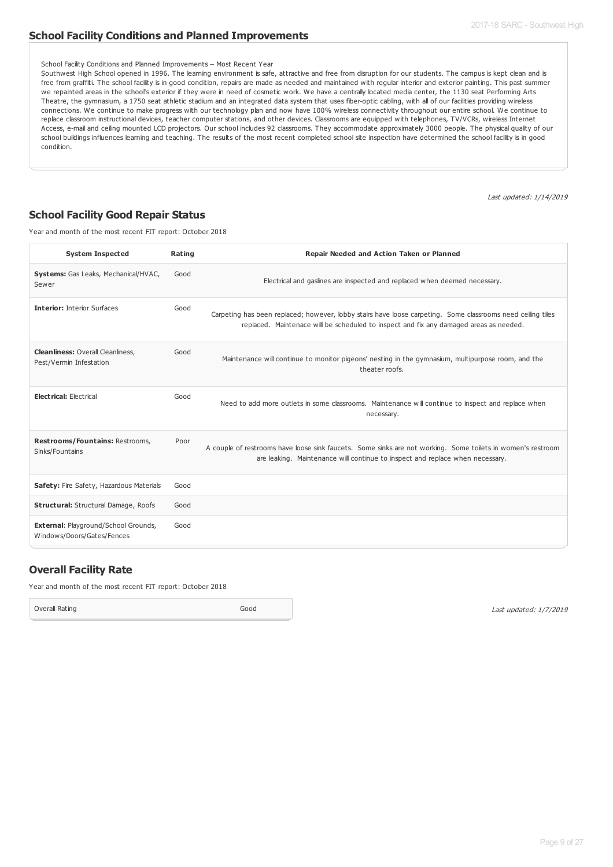#### **School Facility Conditions and Planned Improvements**

#### School Facility Conditions and Planned Improvements – Most Recent Year

Southwest High School opened in 1996. The learning environment is safe, attractive and free from disruption for our students. The campus is kept clean and is free from graffiti. The school facility is in good condition, repairs are made as needed and maintained with regular interior and exterior painting. This past summer we repainted areas in the school's exterior if they were in need of cosmetic work. We have a centrally located media center, the 1130 seat Performing Arts Theatre, the gymnasium, a 1750 seat athletic stadium and an integrated data system that uses fiber-optic cabling, with all of our facilities providing wireless connections. We continue to make progress with our technology plan and now have 100% wireless connectivity throughout our entire school. We continue to replace classroom instructional devices, teacher computer stations, and other devices. Classrooms are equipped with telephones, TV/VCRs, wireless Internet Access, e-mail and ceiling mounted LCD projectors. Our school includes 92 classrooms. They accommodate approximately 3000 people. The physical quality of our school buildings influences learning and teaching. The results of the most recent completed school site inspection have determined the school facility is in good condition.

Last updated: 1/14/2019

#### **School Facility Good Repair Status**

Year and month of the most recent FIT report: October 2018

| <b>System Inspected</b>                                                   | Rating | Repair Needed and Action Taken or Planned                                                                                                                                                             |
|---------------------------------------------------------------------------|--------|-------------------------------------------------------------------------------------------------------------------------------------------------------------------------------------------------------|
| Systems: Gas Leaks, Mechanical/HVAC,<br>Sewer                             | Good   | Electrical and gaslines are inspected and replaced when deemed necessary.                                                                                                                             |
| <b>Interior: Interior Surfaces</b>                                        | Good   | Carpeting has been replaced; however, lobby stairs have loose carpeting. Some classrooms need ceiling tiles<br>replaced. Maintenace will be scheduled to inspect and fix any damaged areas as needed. |
| <b>Cleanliness: Overall Cleanliness,</b><br>Pest/Vermin Infestation       | Good   | Maintenance will continue to monitor pigeons' nesting in the gymnasium, multipurpose room, and the<br>theater roofs.                                                                                  |
| <b>Electrical: Electrical</b>                                             | Good   | Need to add more outlets in some classrooms. Maintenance will continue to inspect and replace when<br>necessary.                                                                                      |
| Restrooms/Fountains: Restrooms,<br>Sinks/Fountains                        | Poor   | A couple of restrooms have loose sink faucets. Some sinks are not working. Some toilets in women's restroom<br>are leaking. Maintenance will continue to inspect and replace when necessary.          |
| Safety: Fire Safety, Hazardous Materials                                  | Good   |                                                                                                                                                                                                       |
| <b>Structural: Structural Damage, Roofs</b>                               | Good   |                                                                                                                                                                                                       |
| <b>External: Playground/School Grounds,</b><br>Windows/Doors/Gates/Fences | Good   |                                                                                                                                                                                                       |

#### **Overall Facility Rate**

Year and month of the most recent FIT report: October 2018

Overall Rating Good

Last updated: 1/7/2019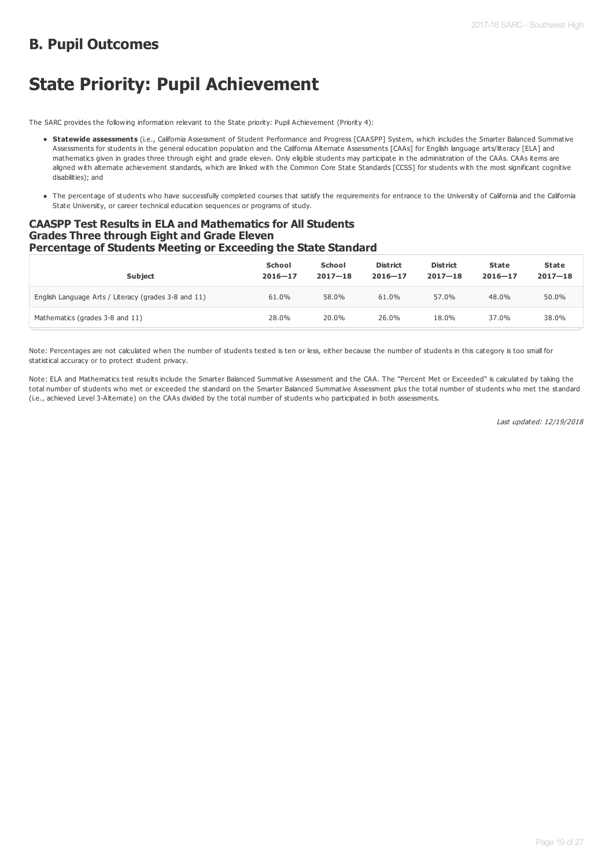# **B. Pupil Outcomes**

# **State Priority: Pupil Achievement**

The SARC provides the following information relevant to the State priority: Pupil Achievement (Priority 4):

- **Statewide assessments** (i.e., California Assessment of Student Performance and Progress [CAASPP] System, which includes the Smarter Balanced Summative Assessments for students in the general education population and the California Alternate Assessments [CAAs] for English language arts/literacy [ELA] and mathematics given in grades three through eight and grade eleven. Only eligible students may participate in the administration of the CAAs. CAAs items are aligned with alternate achievement standards, which are linked with the Common Core State Standards [CCSS] for students with the most significant cognitive disabilities); and
- The percentage of students who have successfully completed courses that satisfy the requirements for entrance to the University of California and the California State University, or career technical education sequences or programs of study.

#### **CAASPP Test Results in ELA and Mathematics for All Students Grades Three through Eight and Grade Eleven Percentage of Students Meeting or Exceeding the State Standard**

| <b>Subject</b>                                       | School<br>$2016 - 17$ | School<br>$2017 - 18$ | <b>District</b><br>$2016 - 17$ | <b>District</b><br>$2017 - 18$ | <b>State</b><br>$2016 - 17$ | State<br>$2017 - 18$ |
|------------------------------------------------------|-----------------------|-----------------------|--------------------------------|--------------------------------|-----------------------------|----------------------|
| English Language Arts / Literacy (grades 3-8 and 11) | 61.0%                 | 58.0%                 | 61.0%                          | 57.0%                          | 48.0%                       | 50.0%                |
| Mathematics (grades 3-8 and 11)                      | 28.0%                 | 20.0%                 | 26.0%                          | 18.0%                          | 37.0%                       | 38.0%                |

Note: Percentages are not calculated when the number of students tested is ten or less, either because the number of students in this category is too small for statistical accuracy or to protect student privacy.

Note: ELA and Mathematics test results include the Smarter Balanced Summative Assessment and the CAA. The "Percent Met or Exceeded" is calculated by taking the total number of students who met or exceeded the standard on the Smarter Balanced Summative Assessment plus the total number of students who met the standard (i.e., achieved Level 3-Alternate) on the CAAs divided by the total number of students who participated in both assessments.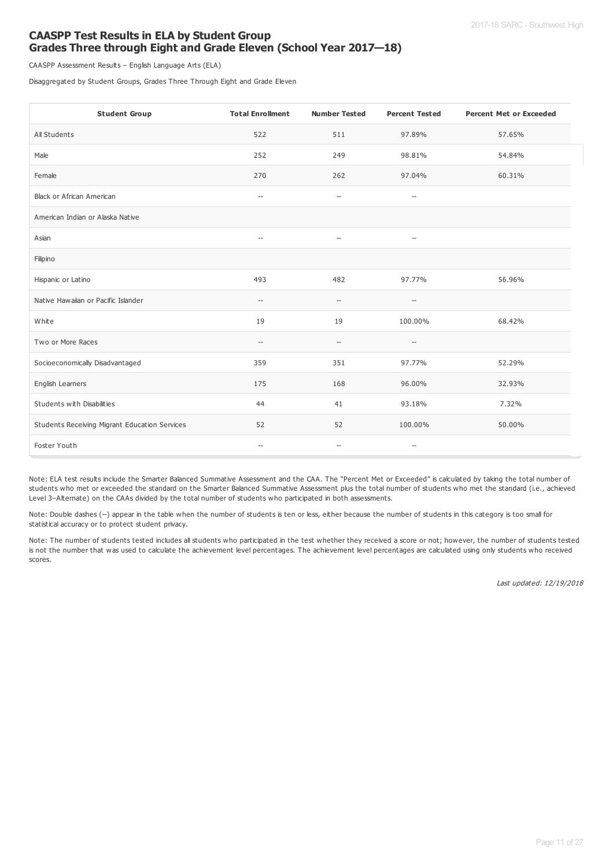#### **CAASPP Test Results in ELA by Student Group Grades Three through Eight and Grade Eleven (School Year 2017—18)**

CAASPP Assessment Results – English Language Arts (ELA)

Disaggregated by Student Groups, Grades Three Through Eight and Grade Eleven

| <b>Student Group</b>                          | <b>Total Enrollment</b>                             | <b>Number Tested</b>                                | <b>Percent Tested</b>                               | <b>Percent Met or Exceeded</b> |
|-----------------------------------------------|-----------------------------------------------------|-----------------------------------------------------|-----------------------------------------------------|--------------------------------|
| All Students                                  | 522                                                 | 511                                                 | 97.89%                                              | 57.65%                         |
| Male                                          | 252                                                 | 249                                                 | 98.81%                                              | 54.84%                         |
| Female                                        | 270                                                 | 262                                                 | 97.04%                                              | 60.31%                         |
| Black or African American                     | $\hspace{0.05cm} -\hspace{0.05cm} -\hspace{0.05cm}$ | $\hspace{0.05cm} -\hspace{0.05cm} -\hspace{0.05cm}$ | $\hspace{0.05cm} -\hspace{0.05cm} -\hspace{0.05cm}$ |                                |
| American Indian or Alaska Native              |                                                     |                                                     |                                                     |                                |
| Asian                                         | $\hspace{0.05cm} -\hspace{0.05cm} -\hspace{0.05cm}$ | $\hspace{0.05cm} -\hspace{0.05cm} -\hspace{0.05cm}$ | $\hspace{0.05cm} -\hspace{0.05cm} -\hspace{0.05cm}$ |                                |
| Filipino                                      |                                                     |                                                     |                                                     |                                |
| Hispanic or Latino                            | 493                                                 | 482                                                 | 97.77%                                              | 56.96%                         |
| Native Hawaiian or Pacific Islander           | $\overline{\phantom{a}}$                            | $\qquad \qquad -$                                   | $\hspace{0.05cm} -\hspace{0.05cm} -\hspace{0.05cm}$ |                                |
| White                                         | 19                                                  | 19                                                  | 100.00%                                             | 68.42%                         |
| Two or More Races                             | $\hspace{0.05cm} -\hspace{0.05cm} -\hspace{0.05cm}$ | $\hspace{0.05cm} -\hspace{0.05cm}$                  | $\hspace{0.05cm} -\hspace{0.05cm} -\hspace{0.05cm}$ |                                |
| Socioeconomically Disadvantaged               | 359                                                 | 351                                                 | 97.77%                                              | 52.29%                         |
| English Learners                              | 175                                                 | 168                                                 | 96.00%                                              | 32.93%                         |
| Students with Disabilities                    | 44                                                  | 41                                                  | 93.18%                                              | 7.32%                          |
| Students Receiving Migrant Education Services | 52                                                  | 52                                                  | 100.00%                                             | 50.00%                         |
| Foster Youth                                  | $\hspace{0.05cm} -\hspace{0.05cm} -\hspace{0.05cm}$ | $\hspace{0.05cm} -\hspace{0.05cm} -\hspace{0.05cm}$ | $\hspace{0.05cm} -\hspace{0.05cm} -\hspace{0.05cm}$ |                                |

Note: ELA test results include the Smarter Balanced Summative Assessment and the CAA. The "Percent Met or Exceeded" is calculated by taking the total number of students who met or exceeded the standard on the Smarter Balanced Summative Assessment plus the total number of students who met the standard (i.e., achieved Level 3–Alternate) on the CAAs divided by the total number of students who participated in both assessments.

Note: Double dashes (--) appear in the table when the number of students is ten or less, either because the number of students in this category is too small for statistical accuracy or to protect student privacy.

Note: The number of students tested includes all students who participated in the test whether they received a score or not; however, the number of students tested is not the number that was used to calculate the achievement level percentages. The achievement level percentages are calculated using only students who received scores.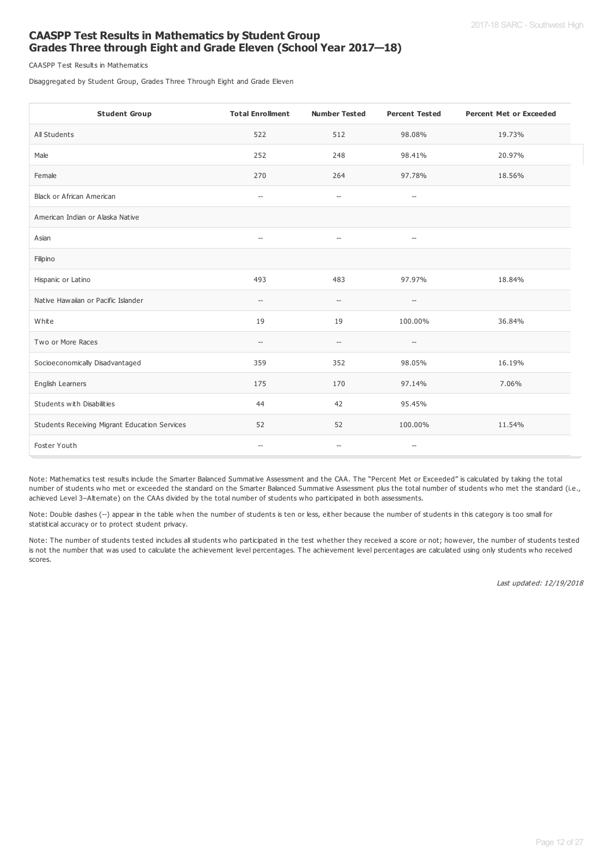#### **CAASPP Test Results in Mathematics by Student Group Grades Three through Eight and Grade Eleven (School Year 2017—18)**

CAASPP Test Results in Mathematics

Disaggregated by Student Group, Grades Three Through Eight and Grade Eleven

| <b>Student Group</b>                          | <b>Total Enrollment</b>                             | <b>Number Tested</b>                                | <b>Percent Tested</b>                               | <b>Percent Met or Exceeded</b> |
|-----------------------------------------------|-----------------------------------------------------|-----------------------------------------------------|-----------------------------------------------------|--------------------------------|
| All Students                                  | 522                                                 | 512                                                 | 98.08%                                              | 19.73%                         |
| Male                                          | 252                                                 | 248                                                 | 98.41%                                              | 20.97%                         |
| Female                                        | 270                                                 | 264                                                 | 97.78%                                              | 18.56%                         |
| Black or African American                     | $\hspace{0.05cm} -\hspace{0.05cm}$                  | $\hspace{0.05cm} -\hspace{0.05cm} -\hspace{0.05cm}$ | $\hspace{0.05cm} -\hspace{0.05cm} -\hspace{0.05cm}$ |                                |
| American Indian or Alaska Native              |                                                     |                                                     |                                                     |                                |
| Asian                                         | $\hspace{0.05cm} -\hspace{0.05cm} -\hspace{0.05cm}$ | $\hspace{0.05cm} -$                                 | $\hspace{0.05cm} -\hspace{0.05cm} -\hspace{0.05cm}$ |                                |
| Filipino                                      |                                                     |                                                     |                                                     |                                |
| Hispanic or Latino                            | 493                                                 | 483                                                 | 97.97%                                              | 18.84%                         |
| Native Hawaiian or Pacific Islander           | $\overline{\phantom{a}}$                            | $\hspace{0.05cm} -\hspace{0.05cm} -\hspace{0.05cm}$ | $-\hbox{--}$                                        |                                |
| White                                         | 19                                                  | 19                                                  | 100.00%                                             | 36.84%                         |
| Two or More Races                             | $\hspace{0.05cm} -\hspace{0.05cm}$                  | $\hspace{0.05cm} -$                                 | $\hspace{0.05cm} -\hspace{0.05cm} -\hspace{0.05cm}$ |                                |
| Socioeconomically Disadvantaged               | 359                                                 | 352                                                 | 98.05%                                              | 16.19%                         |
| English Learners                              | 175                                                 | 170                                                 | 97.14%                                              | 7.06%                          |
| Students with Disabilities                    | 44                                                  | 42                                                  | 95.45%                                              |                                |
| Students Receiving Migrant Education Services | 52                                                  | 52                                                  | 100.00%                                             | 11.54%                         |
| Foster Youth                                  | $\hspace{0.05cm} -\hspace{0.05cm}$                  | $\hspace{0.05cm} -\hspace{0.05cm}$                  | $-\!$                                               |                                |

Note: Mathematics test results include the Smarter Balanced Summative Assessment and the CAA. The "Percent Met or Exceeded" is calculated by taking the total number of students who met or exceeded the standard on the Smarter Balanced Summative Assessment plus the total number of students who met the standard (i.e., achieved Level 3–Alternate) on the CAAs divided by the total number of students who participated in both assessments.

Note: Double dashes (--) appear in the table when the number of students is ten or less, either because the number of students in this category is too small for statistical accuracy or to protect student privacy.

Note: The number of students tested includes all students who participated in the test whether they received a score or not; however, the number of students tested is not the number that was used to calculate the achievement level percentages. The achievement level percentages are calculated using only students who received scores.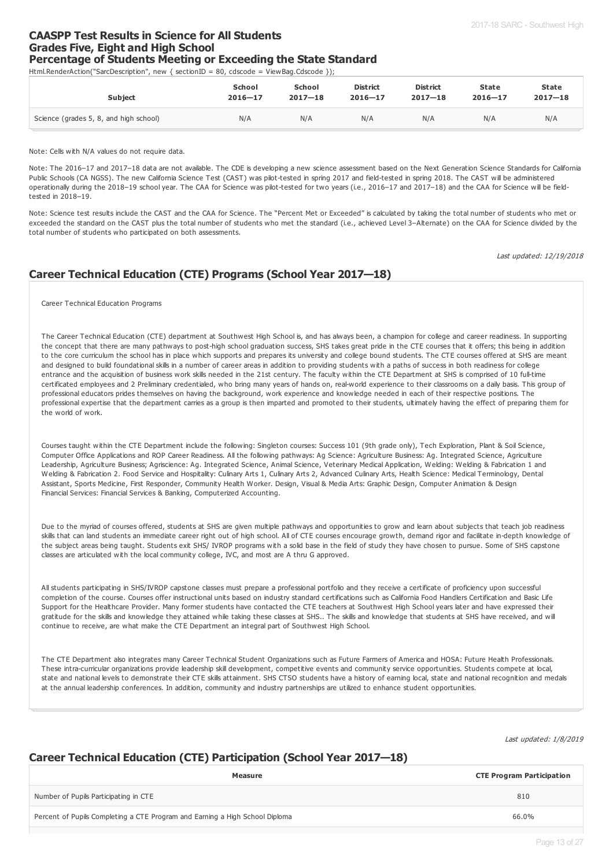#### **CAASPP Test Results in Science for All Students Grades Five, Eight and High School Percentage of Students Meeting or Exceeding the State Standard**

Html.RenderAction("SarcDescription", new { sectionID = 80, cdscode = ViewBag.Cdscode });

| <b>Subject</b>                         | <b>School</b> | School      | <b>District</b> | <b>District</b> | <b>State</b> | <b>State</b> |
|----------------------------------------|---------------|-------------|-----------------|-----------------|--------------|--------------|
|                                        | $2016 - 17$   | $2017 - 18$ | $2016 - 17$     | $2017 - 18$     | $2016 - 17$  | $2017 - 18$  |
| Science (grades 5, 8, and high school) | N/A           | N/A         | N/A             | N/A             | N/A          | N/A          |

Note: Cells with N/A values do not require data.

Note: The 2016–17 and 2017–18 data are not available. The CDE is developing a new science assessment based on the Next Generation Science Standards for California Public Schools (CA NGSS). The new California Science Test (CAST) was pilot-tested in spring 2017 and field-tested in spring 2018. The CAST will be administered operationally during the 2018–19 school year. The CAA for Science was pilot-tested for two years (i.e., 2016–17 and 2017–18) and the CAA for Science will be fieldtested in 2018–19.

Note: Science test results include the CAST and the CAA for Science. The "Percent Met or Exceeded" is calculated by taking the total number of students who met or exceeded the standard on the CAST plus the total number of students who met the standard (i.e., achieved Level 3-Alternate) on the CAA for Science divided by the total number of students who participated on both assessments.

Last updated: 12/19/2018

## **Career Technical Education (CTE) Programs (School Year 2017—18)**

Career Technical Education Programs

The Career Technical Education (CTE) department at Southwest High School is, and has always been, a champion for college and career readiness. In supporting the concept that there are many pathways to post-high school graduation success, SHS takes great pride in the CTE courses that it offers; this being in addition to the core curriculum the school has in place which supports and prepares its university and college bound students. The CTE courses offered at SHS are meant and designed to build foundational skills in a number of career areas in addition to providing students with a paths of success in both readiness for college entrance and the acquisition of business work skills needed in the 21st century. The faculty within the CTE Department at SHS is comprised of 10 full-time certificated employees and 2 Preliminary credentialed, who bring many years of hands on, real-world experience to their classrooms on a daily basis. This group of professional educators prides themselves on having the background, work experience and knowledge needed in each of their respective positions. The professional expertise that the department carries as a group is then imparted and promoted to their students, ultimately having the effect of preparing them for the world of work.

Courses taught within the CTE Department include the following: Singleton courses: Success 101 (9th grade only), Tech Exploration, Plant & Soil Science, Computer Office Applications and ROP Career Readiness. All the following pathways: Ag Science: Agriculture Business: Ag. Integrated Science, Agriculture Leadership, Agriculture Business; Agriscience: Ag. Integrated Science, Animal Science, Veterinary Medical Application, Welding: Welding & Fabrication 1 and Welding & Fabrication 2. Food Service and Hospitality: Culinary Arts 1, Culinary Arts 2, Advanced Culinary Arts, Health Science: Medical Terminology, Dental Assistant, Sports Medicine, First Responder, Community Health Worker. Design, Visual & Media Arts: Graphic Design, Computer Animation & Design Financial Services: Financial Services & Banking, Computerized Accounting.

Due to the myriad of courses offered, students at SHS are given multiple pathways and opportunities to grow and learn about subjects that teach job readiness skills that can land students an immediate career right out of high school. All of CTE courses encourage growth, demand rigor and facilitate in-depth knowledge of the subject areas being taught. Students exit SHS/ IVROP programs with a solid base in the field of study they have chosen to pursue. Some of SHS capstone classes are articulated with the local community college, IVC, and most are A thru G approved.

All students participating in SHS/IVROP capstone classes must prepare a professional portfolio and they receive a certificate of proficiency upon successful completion of the course. Courses offer instructional units based on industry standard certifications such as California Food Handlers Certification and Basic Life Support for the Healthcare Provider. Many former students have contacted the CTE teachers at Southwest High School years later and have expressed their gratitude for the skills and knowledge they attained while taking these classes at SHS.. The skills and knowledge that students at SHS have received, and will continue to receive, are what make the CTE Department an integral part of Southwest High School.

The CTE Department also integrates many Career Technical Student Organizations such as Future Farmers of America and HOSA: Future Health Professionals. These intra-curricular organizations provide leadership skill development, competitive events and community service opportunities. Students compete at local, state and national levels to demonstrate their CTE skills attainment. SHS CTSO students have a history of earning local, state and national recognition and medals at the annual leadership conferences. In addition, community and industry partnerships are utilized to enhance student opportunities.

Last updated: 1/8/2019

#### **Career Technical Education (CTE) Participation (School Year 2017—18)**

| Measure                                                                      | <b>CTE Program Participation</b> |
|------------------------------------------------------------------------------|----------------------------------|
| Number of Pupils Participating in CTE                                        | 810                              |
| Percent of Pupils Completing a CTE Program and Earning a High School Diploma | 66.0%                            |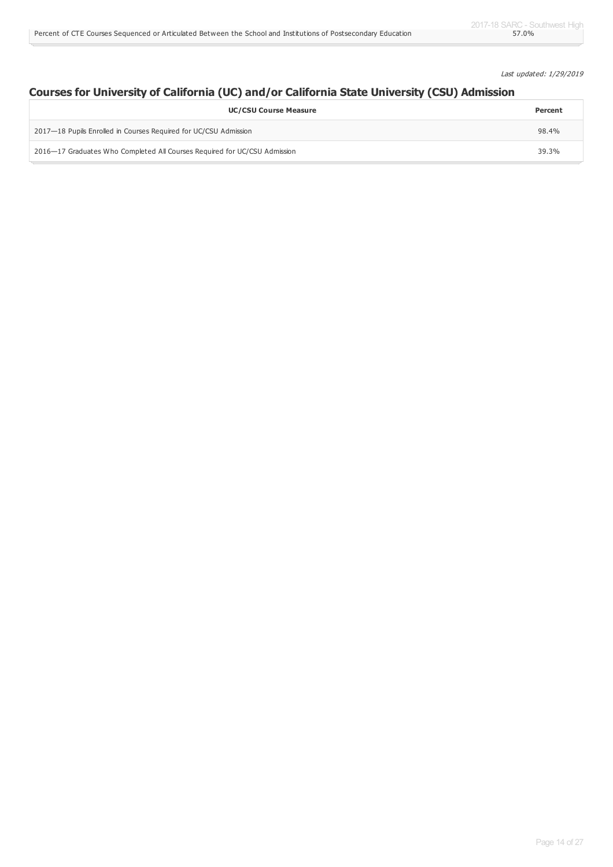Last updated: 1/29/2019

## **Courses for University of California (UC) and/or California State University (CSU) Admission**

| <b>UC/CSU Course Measure</b>                                              | Percent |
|---------------------------------------------------------------------------|---------|
| 2017—18 Pupils Enrolled in Courses Required for UC/CSU Admission          | 98.4%   |
| 2016–17 Graduates Who Completed All Courses Required for UC/CSU Admission | 39.3%   |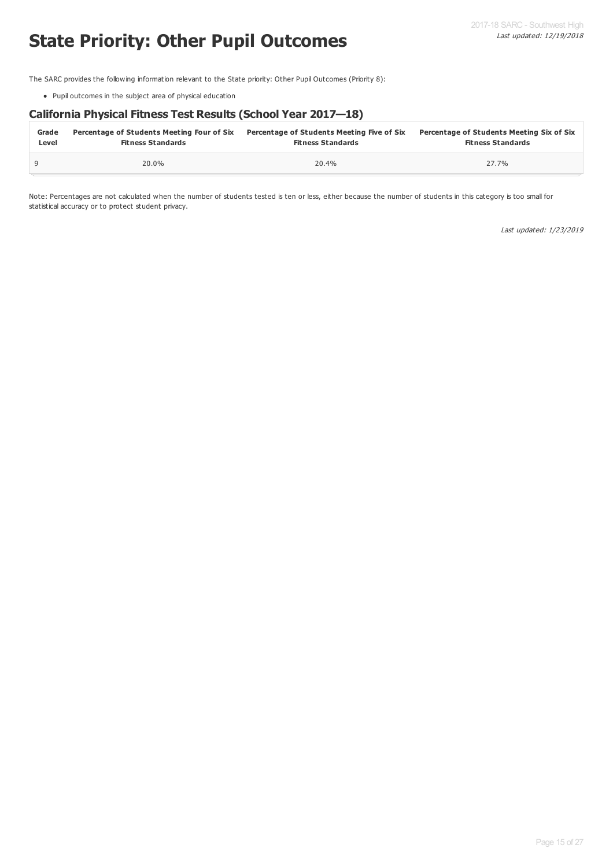# **State Priority: Other Pupil Outcomes**

The SARC provides the following information relevant to the State priority: Other Pupil Outcomes (Priority 8):

Pupil outcomes in the subject area of physical education

### **California Physical Fitness Test Results (School Year 2017—18)**

| Grade | Percentage of Students Meeting Four of Six | Percentage of Students Meeting Five of Six | Percentage of Students Meeting Six of Six |
|-------|--------------------------------------------|--------------------------------------------|-------------------------------------------|
| Level | <b>Fitness Standards</b>                   | <b>Fitness Standards</b>                   | <b>Fitness Standards</b>                  |
|       | 20.0%                                      | 20.4%                                      | 27.7%                                     |

Note: Percentages are not calculated when the number of students tested is ten or less, either because the number of students in this category is too small for statistical accuracy or to protect student privacy.

Last updated: 1/23/2019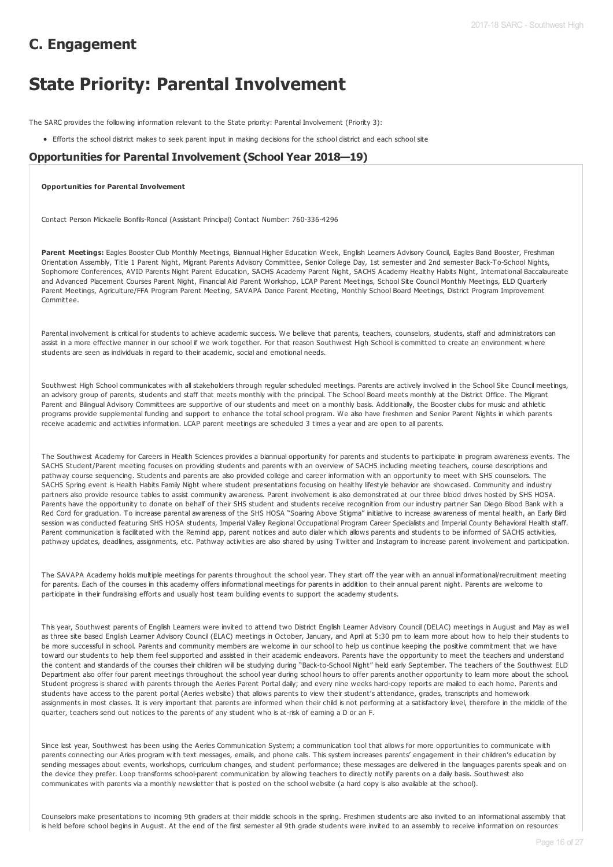# **C. Engagement**

# **State Priority: Parental Involvement**

The SARC provides the following information relevant to the State priority: Parental Involvement (Priority 3):

Efforts the school district makes to seek parent input in making decisions for the school district and each school site

#### **Opportunities for Parental Involvement (School Year 2018—19)**

#### **Opportunities for Parental Involvement**

Contact Person Mickaelle Bonfils-Roncal (Assistant Principal) Contact Number: 760-336-4296

Parent Meetings: Eagles Booster Club Monthly Meetings, Biannual Higher Education Week, English Learners Advisory Council, Eagles Band Booster, Freshman Orientation Assembly, Title 1 Parent Night, Migrant Parents Advisory Committee, Senior College Day, 1st semester and 2nd semester Back-To-School Nights, Sophomore Conferences, AVID Parents Night Parent Education, SACHS Academy Parent Night, SACHS Academy Healthy Habits Night, International Baccalaureate and Advanced Placement Courses Parent Night, Financial Aid Parent Workshop, LCAP Parent Meetings, School Site Council Monthly Meetings, ELD Quarterly Parent Meetings, Agriculture/FFA Program Parent Meeting, SAVAPA Dance Parent Meeting, Monthly School Board Meetings, District Program Improvement Committee.

Parental involvement is critical for students to achieve academic success. We believe that parents, teachers, counselors, students, staff and administrators can assist in a more effective manner in our school if we work together. For that reason Southwest High School is committed to create an environment where students are seen as individuals in regard to their academic, social and emotional needs.

Southwest High School communicates with all stakeholders through regular scheduled meetings. Parents are actively involved in the School Site Council meetings, an advisory group of parents, students and staff that meets monthly with the principal. The School Board meets monthly at the District Office. The Migrant Parent and Bilingual Advisory Committees are supportive of our students and meet on a monthly basis. Additionally, the Booster clubs for music and athletic programs provide supplemental funding and support to enhance the total school program. We also have freshmen and Senior Parent Nights in which parents receive academic and activities information. LCAP parent meetings are scheduled 3 times a year and are open to all parents.

The Southwest Academy for Careers in Health Sciences provides a biannual opportunity for parents and students to participate in program awareness events. The SACHS Student/Parent meeting focuses on providing students and parents with an overview of SACHS including meeting teachers, course descriptions and pathway course sequencing. Students and parents are also provided college and career information with an opportunity to meet with SHS counselors. The SACHS Spring event is Health Habits Family Night where student presentations focusing on healthy lifestyle behavior are showcased. Community and industry partners also provide resource tables to assist community awareness. Parent involvement is also demonstrated at our three blood drives hosted by SHS HOSA. Parents have the opportunity to donate on behalf of their SHS student and students receive recognition from our industry partner San Diego Blood Bank with a Red Cord for graduation. To increase parental awareness of the SHS HOSA "Soaring Above Stigma" initiative to increase awareness of mental health, an Early Bird session was conducted featuring SHS HOSA students, Imperial Valley Regional Occupational Program Career Specialists and Imperial County Behavioral Health staff. Parent communication is facilitated with the Remind app, parent notices and auto dialer which allows parents and students to be informed of SACHS activities, pathway updates, deadlines, assignments, etc. Pathway activities are also shared by using Twitter and Instagram to increase parent involvement and participation.

The SAVAPA Academy holds multiple meetings for parents throughout the school year. They start off the year with an annual informational/recruitment meeting for parents. Each of the courses in this academy offers informational meetings for parents in addition to their annual parent night. Parents are welcome to participate in their fundraising efforts and usually host team building events to support the academy students.

This year, Southwest parents of English Learners were invited to attend two District English Learner Advisory Council (DELAC) meetings in August and May as well as three site based English Learner Advisory Council (ELAC) meetings in October, January, and April at 5:30 pm to learn more about how to help their students to be more successful in school. Parents and community members are welcome in our school to help us continue keeping the positive commitment that we have toward our students to help them feel supported and assisted in their academic endeavors. Parents have the opportunity to meet the teachers and understand the content and standards of the courses their children will be studying during "Back-to-School Night" held early September. The teachers of the Southwest ELD Department also offer four parent meetings throughout the school year during school hours to offer parents another opportunity to learn more about the school. Student progress is shared with parents through the Aeries Parent Portal daily; and every nine weeks hard-copy reports are mailed to each home. Parents and students have access to the parent portal (Aeries website) that allows parents to view their student's attendance, grades, transcripts and homework assignments in most classes. It is very important that parents are informed when their child is not performing at a satisfactory level, therefore in the middle of the quarter, teachers send out notices to the parents of any student who is at-risk of earning a D or an F.

Since last year, Southwest has been using the Aeries Communication System; a communication tool that allows for more opportunities to communicate with parents connecting our Aries program with text messages, emails, and phone calls. This system increases parents' engagement in their children's education by sending messages about events, workshops, curriculum changes, and student performance; these messages are delivered in the languages parents speak and on the device they prefer. Loop transforms school-parent communication by allowing teachers to directly notify parents on a daily basis. Southwest also communicates with parents via a monthly newsletter that is posted on the school website (a hard copy is also available at the school).

Counselors make presentations to incoming 9th graders at their middle schools in the spring. Freshmen students are also invited to an informational assembly that is held before school begins in August. At the end of the first semester all 9th grade students were invited to an assembly to receive information on resources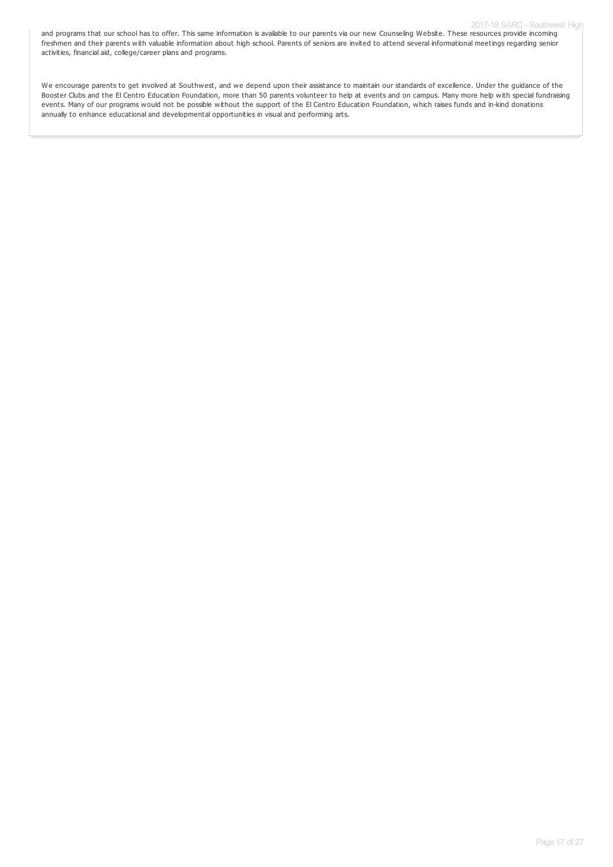and programs that our school has to offer. This same information is available to our parents via our new Counseling Website. These resources provide incoming freshmen and their parents with valuable information about high school. Parents of seniors are invited to attend several informational meetings regarding senior activities, financial aid, college/career plans and programs.

We encourage parents to get involved at Southwest, and we depend upon their assistance to maintain our standards of excellence. Under the guidance of the Booster Clubs and the El Centro Education Foundation, more than 50 parents volunteer to help at events and on campus. Many more help with special fundraising events. Many of our programs would not be possible without the support of the El Centro Education Foundation, which raises funds and in-kind donations annually to enhance educational and developmental opportunities in visual and performing arts.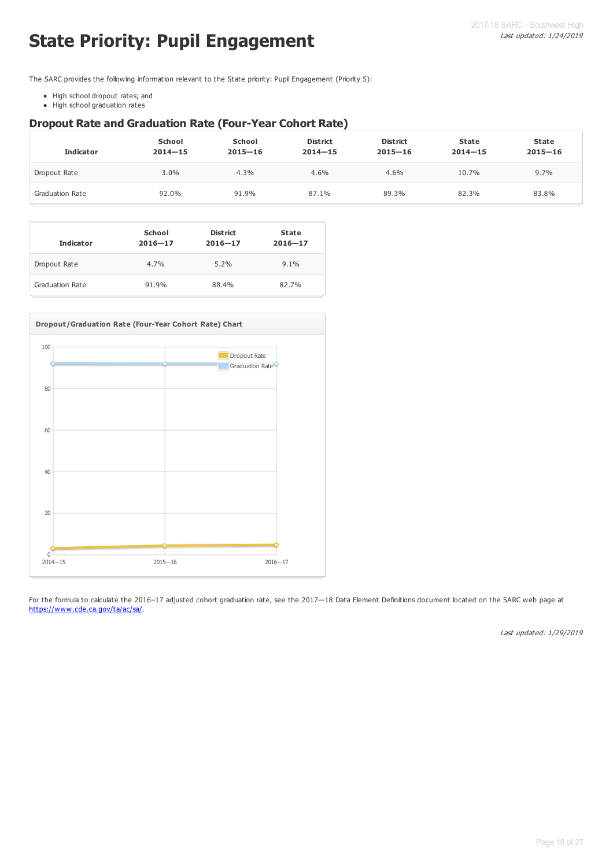# **State Priority: Pupil Engagement**

The SARC provides the following information relevant to the State priority: Pupil Engagement (Priority 5):

- High school dropout rates; and
- High school graduation rates

### **Dropout Rate and Graduation Rate (Four-Year Cohort Rate)**

| <b>Indicator</b>       | <b>School</b><br>$2014 - 15$ | <b>School</b><br>$2015 - 16$ | <b>District</b><br>$2014 - 15$ | <b>District</b><br>$2015 - 16$ | <b>State</b><br>$2014 - 15$ | <b>State</b><br>$2015 - 16$ |
|------------------------|------------------------------|------------------------------|--------------------------------|--------------------------------|-----------------------------|-----------------------------|
| Dropout Rate           | $3.0\%$                      | 4.3%                         | 4.6%                           | 4.6%                           | 10.7%                       | $9.7\%$                     |
| <b>Graduation Rate</b> | 92.0%                        | 91.9%                        | 87.1%                          | 89.3%                          | 82.3%                       | 83.8%                       |

| <b>Indicator</b> | School<br>$2016 - 17$ | <b>District</b><br>$2016 - 17$ | <b>State</b><br>$2016 - 17$ |
|------------------|-----------------------|--------------------------------|-----------------------------|
| Dropout Rate     | 4.7%                  | 5.2%                           | 9.1%                        |
| Graduation Rate  | 91.9%                 | 88.4%                          | 82.7%                       |



For the formula to calculate the 2016–17 adjusted cohort graduation rate, see the 2017—18 Data Element Definitions document located on the SARC web page at <https://www.cde.ca.gov/ta/ac/sa/>.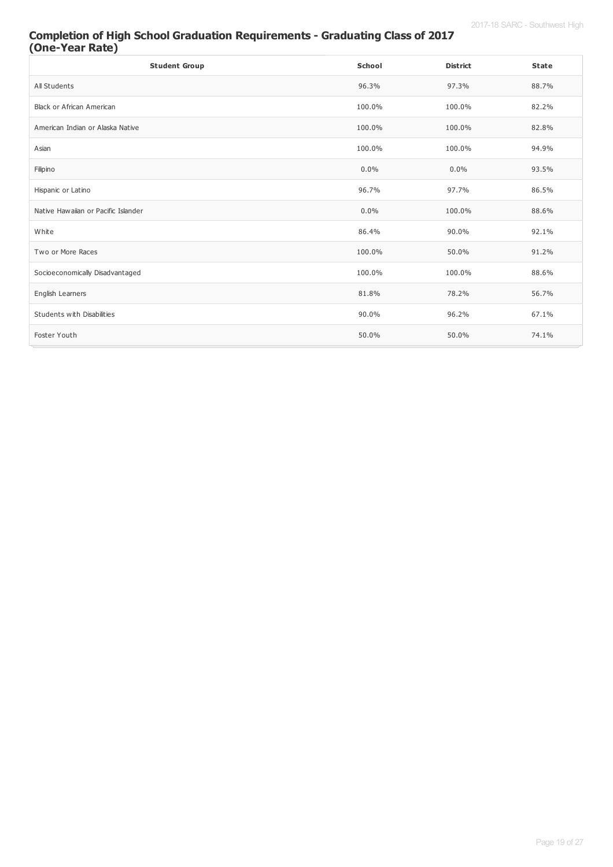### **Completion of High School Graduation Requirements - Graduating Class of 2017 (One-Year Rate)**

| <b>Student Group</b>                | School  | <b>District</b> | <b>State</b> |
|-------------------------------------|---------|-----------------|--------------|
| All Students                        | 96.3%   | 97.3%           | 88.7%        |
| <b>Black or African American</b>    | 100.0%  | 100.0%          | 82.2%        |
| American Indian or Alaska Native    | 100.0%  | 100.0%          | 82.8%        |
| Asian                               | 100.0%  | 100.0%          | 94.9%        |
| Filipino                            | $0.0\%$ | 0.0%            | 93.5%        |
| Hispanic or Latino                  | 96.7%   | 97.7%           | 86.5%        |
| Native Hawaiian or Pacific Islander | $0.0\%$ | 100.0%          | 88.6%        |
| White                               | 86.4%   | 90.0%           | 92.1%        |
| Two or More Races                   | 100.0%  | 50.0%           | 91.2%        |
| Socioeconomically Disadvantaged     | 100.0%  | 100.0%          | 88.6%        |
| English Learners                    | 81.8%   | 78.2%           | 56.7%        |
| Students with Disabilities          | 90.0%   | 96.2%           | 67.1%        |
| Foster Youth                        | 50.0%   | 50.0%           | 74.1%        |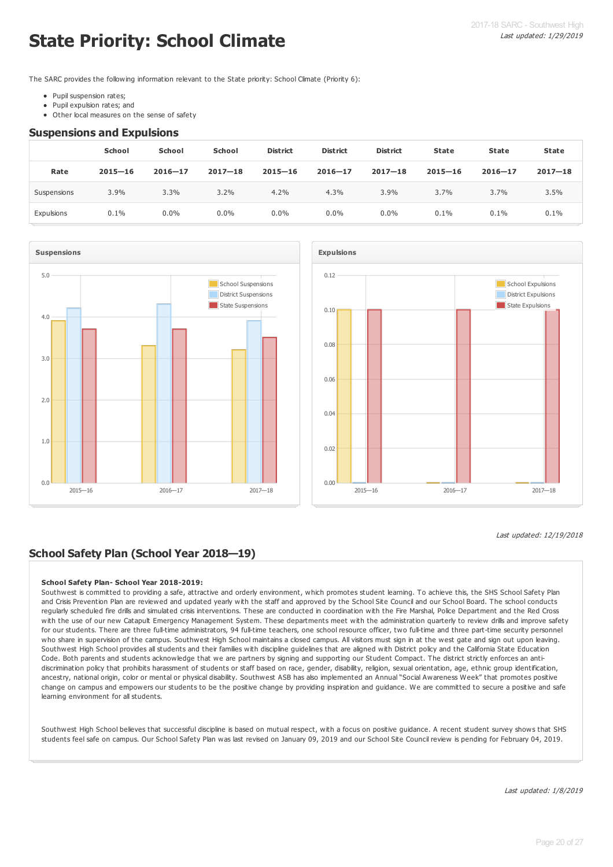# **State Priority: School Climate**

The SARC provides the following information relevant to the State priority: School Climate (Priority 6):

- Pupil suspension rates;
- Pupil expulsion rates; and
- Other local measures on the sense of safety

#### **Suspensions and Expulsions**

|             | School      | <b>School</b> | <b>School</b> | <b>District</b> | <b>District</b> | <b>District</b> | <b>State</b> | <b>State</b> | <b>State</b> |
|-------------|-------------|---------------|---------------|-----------------|-----------------|-----------------|--------------|--------------|--------------|
| Rate        | $2015 - 16$ | $2016 - 17$   | $2017 - 18$   | $2015 - 16$     | $2016 - 17$     | $2017 - 18$     | $2015 - 16$  | $2016 - 17$  | $2017 - 18$  |
| Suspensions | 3.9%        | 3.3%          | 3.2%          | 4.2%            | 4.3%            | 3.9%            | 3.7%         | 3.7%         | 3.5%         |
| Expulsions  | 0.1%        | $0.0\%$       | 0.0%          | $0.0\%$         | $0.0\%$         | $0.0\%$         | 0.1%         | 0.1%         | 0.1%         |





Last updated: 12/19/2018

## **School Safety Plan (School Year 2018—19)**

#### **School Safety Plan- School Year 2018-2019:**

Southwest is committed to providing a safe, attractive and orderly environment, which promotes student learning. To achieve this, the SHS School Safety Plan and Crisis Prevention Plan are reviewed and updated yearly with the staff and approved by the School Site Council and our School Board. The school conducts regularly scheduled fire drills and simulated crisis interventions. These are conducted in coordination with the Fire Marshal, Police Department and the Red Cross with the use of our new Catapult Emergency Management System. These departments meet with the administration quarterly to review drills and improve safety for our students. There are three full-time administrators, 94 full-time teachers, one school resource officer, two full-time and three part-time security personnel who share in supervision of the campus. Southwest High School maintains a closed campus. All visitors must sign in at the west gate and sign out upon leaving. Southwest High School provides all students and their families with discipline guidelines that are aligned with District policy and the California State Education Code. Both parents and students acknowledge that we are partners by signing and supporting our Student Compact. The district strictly enforces an antidiscrimination policy that prohibits harassment of students or staff based on race, gender, disability, religion, sexual orientation, age, ethnic group identification, ancestry, national origin, color or mental or physical disability. Southwest ASB has also implemented an Annual "Social Awareness Week" that promotes positive change on campus and empowers our students to be the positive change by providing inspiration and guidance. We are committed to secure a positive and safe learning environment for all students.

Southwest High School believes that successful discipline is based on mutual respect, with a focus on positive guidance. A recent student survey shows that SHS students feel safe on campus. Our School Safety Plan was last revised on January 09, 2019 and our School Site Council review is pending for February 04, 2019.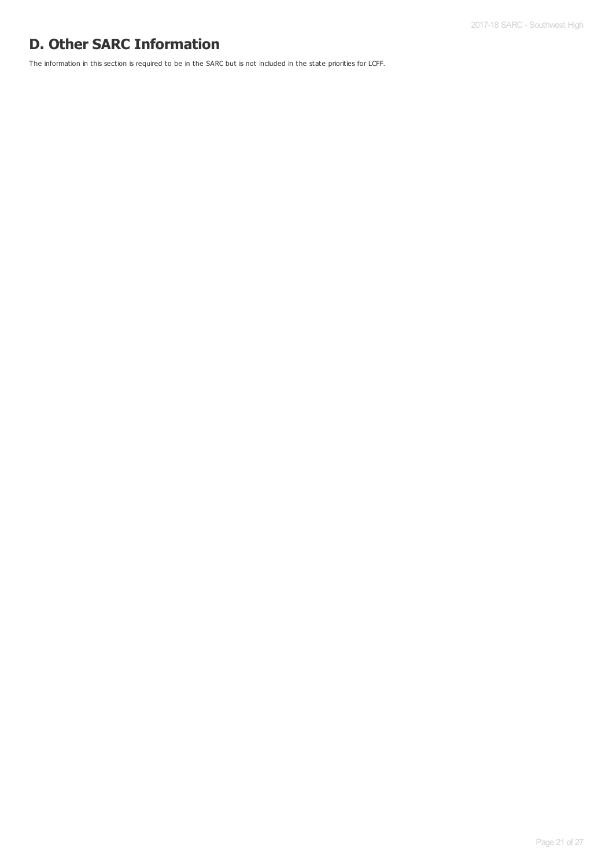# **D. Other SARC Information**

The information in this section is required to be in the SARC but is not included in the state priorities for LCFF.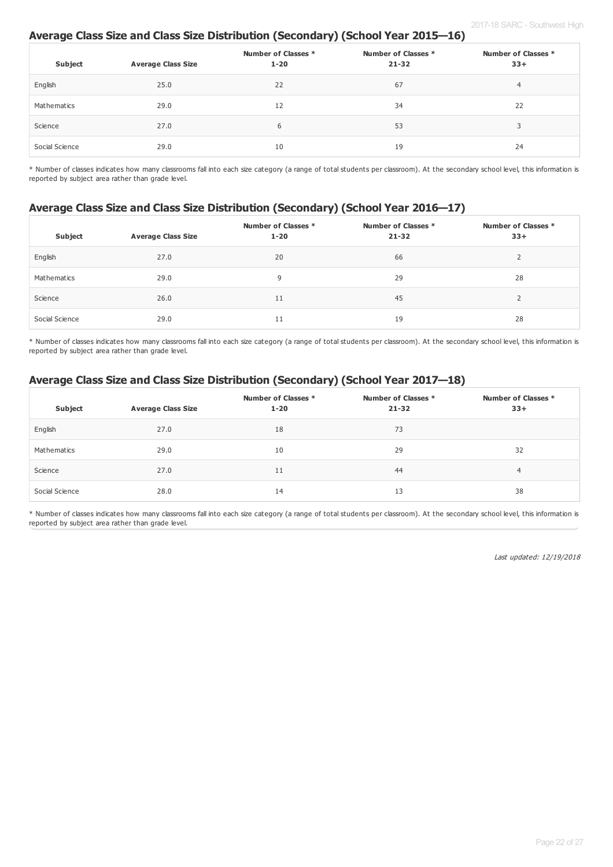### **Average Class Size and Class Size Distribution (Secondary) (School Year 2015—16)**

| Subject        | <b>Average Class Size</b> | Number of Classes *<br>$1 - 20$ | Number of Classes *<br>$21 - 32$ | Number of Classes *<br>$33+$ |
|----------------|---------------------------|---------------------------------|----------------------------------|------------------------------|
| English        | 25.0                      | 22                              | 67                               | $\overline{4}$               |
| Mathematics    | 29.0                      | 12                              | 34                               | 22                           |
| Science        | 27.0                      | 6                               | 53                               |                              |
| Social Science | 29.0                      | 10                              | 19                               | 24                           |

\* Number of classes indicates how many classrooms fall into each size category (a range of total students per classroom). At the secondary school level, this information is reported by subject area rather than grade level.

### **Average Class Size and Class Size Distribution (Secondary) (School Year 2016—17)**

| Subject        | <b>Average Class Size</b> | Number of Classes *<br>$1 - 20$ | Number of Classes *<br>$21 - 32$ | Number of Classes *<br>$33+$ |
|----------------|---------------------------|---------------------------------|----------------------------------|------------------------------|
| English        | 27.0                      | 20                              | 66                               | ∠                            |
| Mathematics    | 29.0                      | 9                               | 29                               | 28                           |
| Science        | 26.0                      | 11                              | 45                               |                              |
| Social Science | 29.0                      | 11                              | 19                               | 28                           |

\* Number of classes indicates how many classrooms fall into each size category (a range of total students per classroom). At the secondary school level, this information is reported by subject area rather than grade level.

## **Average Class Size and Class Size Distribution (Secondary) (School Year 2017—18)**

| Subject        | <b>Average Class Size</b> | Number of Classes *<br>$1 - 20$ | Number of Classes *<br>$21 - 32$ | Number of Classes *<br>$33+$ |
|----------------|---------------------------|---------------------------------|----------------------------------|------------------------------|
| English        | 27.0                      | 18                              | 73                               |                              |
| Mathematics    | 29.0                      | 10                              | 29                               | 32                           |
| Science        | 27.0                      | 11                              | 44                               | 4                            |
| Social Science | 28.0                      | 14                              | 13                               | 38                           |

\* Number of classes indicates how many classrooms fall into each size category (a range of total students per classroom). At the secondary school level, this information is reported by subject area rather than grade level.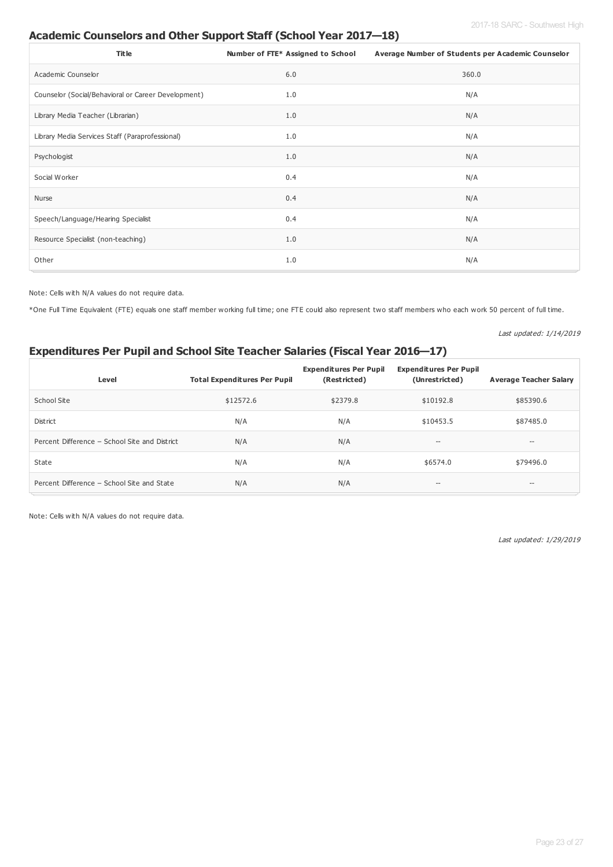## **Academic Counselors and Other Support Staff (School Year 2017—18)**

| <b>Title</b>                                        | Number of FTE* Assigned to School | Average Number of Students per Academic Counselor |
|-----------------------------------------------------|-----------------------------------|---------------------------------------------------|
| Academic Counselor                                  | 6.0                               | 360.0                                             |
| Counselor (Social/Behavioral or Career Development) | 1.0                               | N/A                                               |
| Library Media Teacher (Librarian)                   | 1.0                               | N/A                                               |
| Library Media Services Staff (Paraprofessional)     | 1.0                               | N/A                                               |
| Psychologist                                        | 1.0                               | N/A                                               |
| Social Worker                                       | 0.4                               | N/A                                               |
| Nurse                                               | 0.4                               | N/A                                               |
| Speech/Language/Hearing Specialist                  | 0.4                               | N/A                                               |
| Resource Specialist (non-teaching)                  | 1.0                               | N/A                                               |
| Other                                               | 1.0                               | N/A                                               |

Note: Cells with N/A values do not require data.

\*One Full Time Equivalent (FTE) equals one staff member working full time; one FTE could also represent two staff members who each work 50 percent of full time.

Last updated: 1/14/2019

## **Expenditures Per Pupil and School Site Teacher Salaries (Fiscal Year 2016—17)**

| Level                                         | <b>Total Expenditures Per Pupil</b> | <b>Expenditures Per Pupil</b><br>(Restricted) | <b>Expenditures Per Pupil</b><br>(Unrestricted) | <b>Average Teacher Salary</b>                       |
|-----------------------------------------------|-------------------------------------|-----------------------------------------------|-------------------------------------------------|-----------------------------------------------------|
| School Site                                   | \$12572.6                           | \$2379.8                                      | \$10192.8                                       | \$85390.6                                           |
| <b>District</b>                               | N/A                                 | N/A                                           | \$10453.5                                       | \$87485.0                                           |
| Percent Difference - School Site and District | N/A                                 | N/A                                           | $\qquad \qquad -$                               | $\hspace{0.05cm} -\hspace{0.05cm} -\hspace{0.05cm}$ |
| State                                         | N/A                                 | N/A                                           | \$6574.0                                        | \$79496.0                                           |
| Percent Difference - School Site and State    | N/A                                 | N/A                                           | $\hspace{0.05cm}$ – $\hspace{0.05cm}$           | $\hspace{0.05cm}$                                   |

Note: Cells with N/A values do not require data.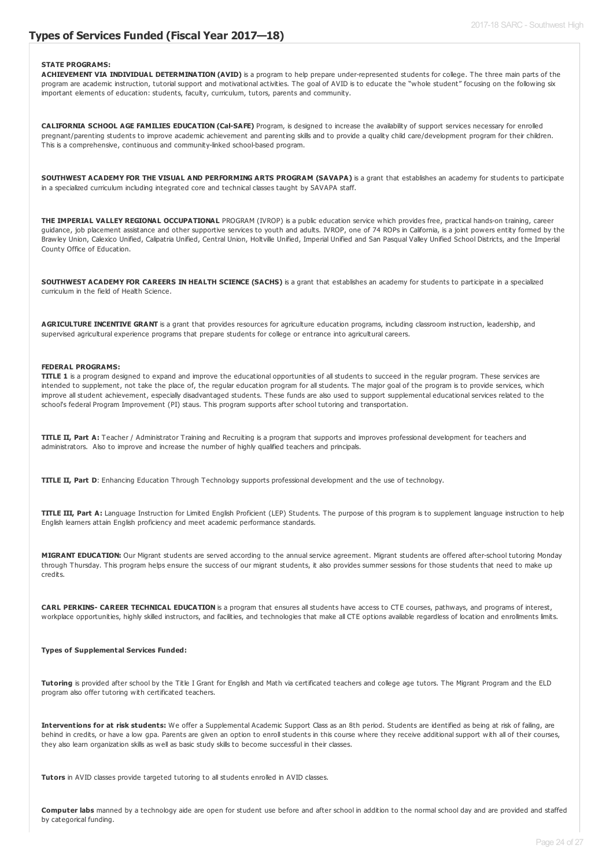#### **Types of Services Funded (Fiscal Year 2017—18)**

#### **STATE PROGRAMS:**

**ACHIEVEMENT VIA INDIVIDUAL DETERMINATION (AVID)** is a program to help prepare under-represented students for college. The three main parts of the program are academic instruction, tutorial support and motivational activities. The goal of AVID is to educate the "whole student" focusing on the following six important elements of education: students, faculty, curriculum, tutors, parents and community.

**CALIFORNIA SCHOOL AGE FAMILIES EDUCATION (Cal-SAFE)** Program, is designed to increase the availability of support services necessary for enrolled pregnant/parenting students to improve academic achievement and parenting skills and to provide a quality child care/development program for their children. This is a comprehensive, continuous and community-linked school-based program.

**SOUTHWEST ACADEMY FOR THE VISUAL AND PERFORMING ARTS PROGRAM (SAVAPA)** is a grant that establishes an academy for students to participate in a specialized curriculum including integrated core and technical classes taught by SAVAPA staff.

**THE IMPERIAL VALLEY REGIONAL OCCUPATIONAL** PROGRAM (IVROP) is a public education service which provides free, practical hands-on training, career guidance, job placement assistance and other supportive services to youth and adults. IVROP, one of 74 ROPs in California, is a joint powers entity formed by the Brawley Union, Calexico Unified, Calipatria Unified, Central Union, Holtville Unified, Imperial Unified and San Pasqual Valley Unified School Districts, and the Imperial County Office of Education.

**SOUTHWEST ACADEMY FOR CAREERS IN HEALTH SCIENCE (SACHS)** is a grant that establishes an academy for students to participate in a specialized curriculum in the field of Health Science.

**AGRICULTURE INCENTIVE GRANT** is a grant that provides resources for agriculture education programs, including classroom instruction, leadership, and supervised agricultural experience programs that prepare students for college or entrance into agricultural careers.

#### **FEDERAL PROGRAMS:**

**TITLE 1** is a program designed to expand and improve the educational opportunities of all students to succeed in the regular program. These services are intended to supplement, not take the place of, the regular education program for all students. The major goal of the program is to provide services, which improve all student achievement, especially disadvantaged students. These funds are also used to support supplemental educational services related to the school's federal Program Improvement (PI) staus. This program supports after school tutoring and transportation.

**TITLE II, Part A:** Teacher / Administrator Training and Recruiting is a program that supports and improves professional development for teachers and administrators. Also to improve and increase the number of highly qualified teachers and principals.

**TITLE II, Part D**: Enhancing Education Through Technology supports professional development and the use of technology.

**TITLE III, Part A:** Language Instruction for Limited English Proficient (LEP) Students. The purpose of this program is to supplement language instruction to help English learners attain English proficiency and meet academic performance standards.

**MIGRANT EDUCATION:** Our Migrant students are served according to the annual service agreement. Migrant students are offered after-school tutoring Monday through Thursday. This program helps ensure the success of our migrant students, it also provides summer sessions for those students that need to make up credits.

**CARL PERKINS- CAREER TECHNICAL EDUCATION** is a program that ensures all students have access to CTE courses, pathways, and programs of interest, workplace opportunities, highly skilled instructors, and facilities, and technologies that make all CTE options available regardless of location and enrollments limits.

#### **Types of Supplemental Services Funded:**

**Tutoring** is provided after school by the Title I Grant for English and Math via certificated teachers and college age tutors. The Migrant Program and the ELD program also offer tutoring with certificated teachers.

**Interventions for at risk students:** We offer a Supplemental Academic Support Class as an 8th period. Students are identified as being at risk of failing, are behind in credits, or have a low qpa. Parents are given an option to enroll students in this course where they receive additional support with all of their courses, they also learn organization skills as well as basic study skills to become successful in their classes.

**Tutors** in AVID classes provide targeted tutoring to all students enrolled in AVID classes.

**Computer labs** manned by a technology aide are open for student use before and after school in addition to the normal school day and are provided and staffed by categorical funding.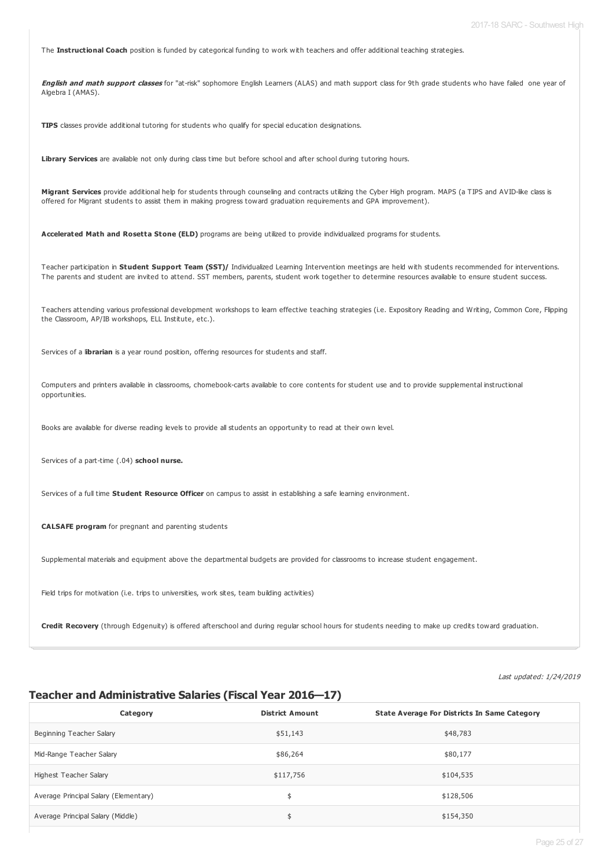The **Instructional Coach** position is funded by categorical funding to work with teachers and offer additional teaching strategies.

**English and math support classes** for "at-risk" sophomore English Learners (ALAS) and math support class for 9th grade students who have failed one year of Algebra I (AMAS).

**TIPS** classes provide additional tutoring for students who qualify for special education designations.

Library Services are available not only during class time but before school and after school during tutoring hours.

**Migrant Services** provide additional help for students through counseling and contracts utilizing the Cyber High program. MAPS (a TIPS and AVID-like class is offered for Migrant students to assist them in making progress toward graduation requirements and GPA improvement).

**Accelerated Math and Rosetta Stone (ELD)** programs are being utilized to provide individualized programs for students.

Teacher participation in **Student Support Team (SST)/** Individualized Learning Intervention meetings are held with students recommended for interventions. The parents and student are invited to attend. SST members, parents, student work together to determine resources available to ensure student success.

Teachers attending various professional development workshops to learn effective teaching strategies (i.e. Expository Reading and Writing, Common Core, Flipping the Classroom, AP/IB workshops, ELL Institute, etc.).

Services of a l**ibrarian** is a year round position, offering resources for students and staff.

Computers and printers available in classrooms, chomebook-carts available to core contents for student use and to provide supplemental instructional opportunities.

Books are available for diverse reading levels to provide all students an opportunity to read at their own level.

Services of a part-time (.04) **school nurse.**

Services of a full time **Student Resource Officer** on campus to assist in establishing a safe learning environment.

**CALSAFE program** for pregnant and parenting students

Supplemental materials and equipment above the departmental budgets are provided for classrooms to increase student engagement.

Field trips for motivation (i.e. trips to universities, work sites, team building activities)

**Credit Recovery** (through Edgenuity) is offered afterschool and during regular school hours for students needing to make up credits toward graduation.

#### Last updated: 1/24/2019

#### **Teacher and Administrative Salaries (Fiscal Year 2016—17)**

| Category                              | <b>District Amount</b> | <b>State Average For Districts In Same Category</b> |
|---------------------------------------|------------------------|-----------------------------------------------------|
| Beginning Teacher Salary              | \$51,143               | \$48,783                                            |
| Mid-Range Teacher Salary              | \$86,264               | \$80,177                                            |
| Highest Teacher Salary                | \$117,756              | \$104,535                                           |
| Average Principal Salary (Elementary) | \$                     | \$128,506                                           |
| Average Principal Salary (Middle)     | \$                     | \$154,350                                           |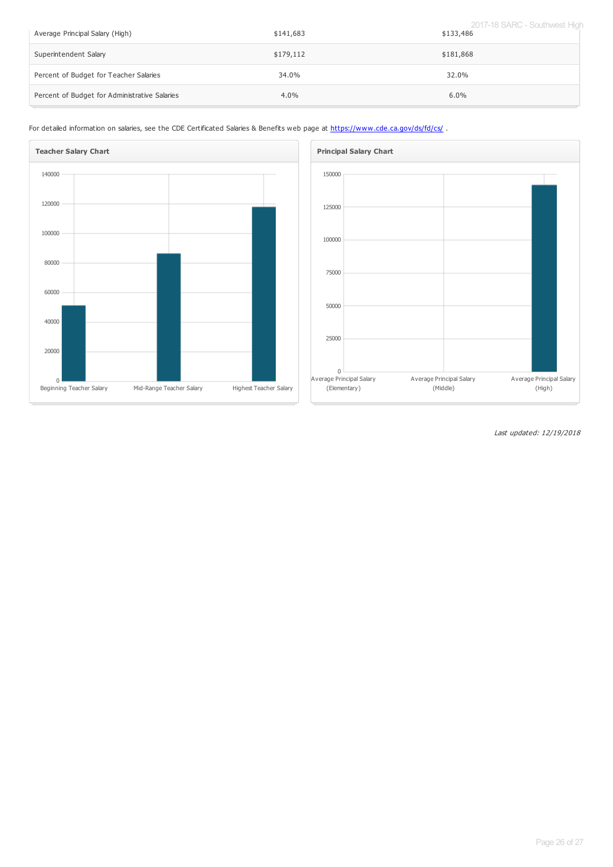| Average Principal Salary (High)               | \$141,683 | 2017-18 SARC - Southwest High<br>\$133,486 |
|-----------------------------------------------|-----------|--------------------------------------------|
| Superintendent Salary                         | \$179,112 | \$181,868                                  |
| Percent of Budget for Teacher Salaries        | 34.0%     | 32.0%                                      |
| Percent of Budget for Administrative Salaries | $4.0\%$   | $6.0\%$                                    |

For detailed information on salaries, see the CDE Certificated Salaries & Benefits web page at <https://www.cde.ca.gov/ds/fd/cs/>.